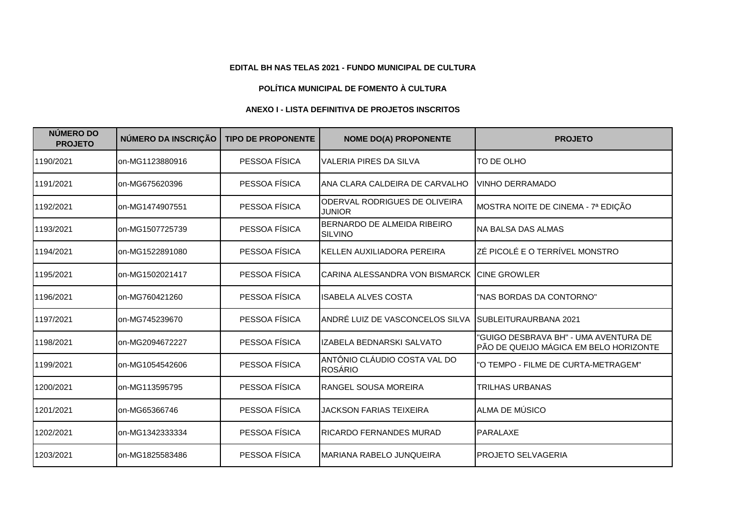## **EDITAL BH NAS TELAS 2021 - FUNDO MUNICIPAL DE CULTURA**

## **POLÍTICA MUNICIPAL DE FOMENTO À CULTURA**

## **ANEXO I - LISTA DEFINITIVA DE PROJETOS INSCRITOS**

| NÚMERO DO<br><b>PROJETO</b> | NÚMERO DA INSCRIÇÃO | <b>TIPO DE PROPONENTE</b> | <b>NOME DO(A) PROPONENTE</b>                   | <b>PROJETO</b>                                                                  |
|-----------------------------|---------------------|---------------------------|------------------------------------------------|---------------------------------------------------------------------------------|
| 1190/2021                   | on-MG1123880916     | PESSOA FÍSICA             | <b>VALERIA PIRES DA SILVA</b>                  | TO DE OLHO                                                                      |
| 1191/2021                   | on-MG675620396      | PESSOA FÍSICA             | ANA CLARA CALDEIRA DE CARVALHO                 | <b>VINHO DERRAMADO</b>                                                          |
| 1192/2021                   | on-MG1474907551     | PESSOA FÍSICA             | ODERVAL RODRIGUES DE OLIVEIRA<br><b>JUNIOR</b> | MOSTRA NOITE DE CINEMA - 7ª EDIÇÃO                                              |
| 1193/2021                   | on-MG1507725739     | PESSOA FÍSICA             | BERNARDO DE ALMEIDA RIBEIRO<br><b>SILVINO</b>  | INA BALSA DAS ALMAS                                                             |
| 1194/2021                   | on-MG1522891080     | PESSOA FÍSICA             | KELLEN AUXILIADORA PEREIRA                     | ZÉ PICOLÉ E O TERRÍVEL MONSTRO                                                  |
| 1195/2021                   | on-MG1502021417     | PESSOA FÍSICA             | CARINA ALESSANDRA VON BISMARCK                 | <b>ICINE GROWLER</b>                                                            |
| 1196/2021                   | on-MG760421260      | PESSOA FÍSICA             | ISABELA ALVES COSTA                            | "NAS BORDAS DA CONTORNO"                                                        |
| 1197/2021                   | on-MG745239670      | PESSOA FÍSICA             | ANDRÉ LUIZ DE VASCONCELOS SILVA                | SUBLEITURAURBANA 2021                                                           |
| 1198/2021                   | on-MG2094672227     | PESSOA FÍSICA             | IZABELA BEDNARSKI SALVATO                      | "GUIGO DESBRAVA BH" - UMA AVENTURA DE<br>PÃO DE QUEIJO MÁGICA EM BELO HORIZONTE |
| 1199/2021                   | on-MG1054542606     | PESSOA FÍSICA             | ANTÔNIO CLÁUDIO COSTA VAL DO<br><b>ROSÁRIO</b> | "O TEMPO - FILME DE CURTA-METRAGEM"                                             |
| 1200/2021                   | on-MG113595795      | PESSOA FÍSICA             | <b>RANGEL SOUSA MOREIRA</b>                    | <b>TRILHAS URBANAS</b>                                                          |
| 1201/2021                   | on-MG65366746       | PESSOA FÍSICA             | <b>JACKSON FARIAS TEIXEIRA</b>                 | ALMA DE MÚSICO                                                                  |
| 1202/2021                   | on-MG1342333334     | PESSOA FÍSICA             | <b>RICARDO FERNANDES MURAD</b>                 | <b>PARALAXE</b>                                                                 |
| 1203/2021                   | on-MG1825583486     | PESSOA FÍSICA             | IMARIANA RABELO JUNQUEIRA                      | <b>IPROJETO SELVAGERIA</b>                                                      |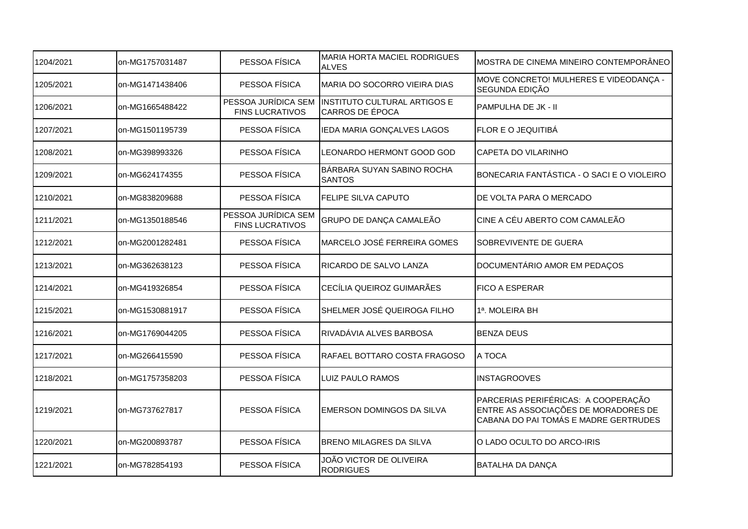| 1204/2021 | on-MG1757031487 | PESSOA FÍSICA                                 | <b>MARIA HORTA MACIEL RODRIGUES</b><br><b>ALVES</b> | MOSTRA DE CINEMA MINEIRO CONTEMPORÂNEO                                                                               |
|-----------|-----------------|-----------------------------------------------|-----------------------------------------------------|----------------------------------------------------------------------------------------------------------------------|
| 1205/2021 | on-MG1471438406 | PESSOA FÍSICA                                 | MARIA DO SOCORRO VIEIRA DIAS                        | MOVE CONCRETO! MULHERES E VIDEODANÇA -<br>SEGUNDA EDIÇÃO                                                             |
| 1206/2021 | on-MG1665488422 | PESSOA JURÍDICA SEM<br><b>FINS LUCRATIVOS</b> | INSTITUTO CULTURAL ARTIGOS E<br>CARROS DE ÉPOCA     | PAMPULHA DE JK - II                                                                                                  |
| 1207/2021 | on-MG1501195739 | PESSOA FÍSICA                                 | IEDA MARIA GONÇALVES LAGOS                          | <b>FLOR E O JEQUITIBÁ</b>                                                                                            |
| 1208/2021 | on-MG398993326  | PESSOA FÍSICA                                 | LEONARDO HERMONT GOOD GOD                           | CAPETA DO VILARINHO                                                                                                  |
| 1209/2021 | on-MG624174355  | PESSOA FÍSICA                                 | BÁRBARA SUYAN SABINO ROCHA<br><b>SANTOS</b>         | BONECARIA FANTÁSTICA - O SACI E O VIOLEIRO                                                                           |
| 1210/2021 | on-MG838209688  | PESSOA FÍSICA                                 | <b>FELIPE SILVA CAPUTO</b>                          | DE VOLTA PARA O MERCADO                                                                                              |
| 1211/2021 | on-MG1350188546 | PESSOA JURÍDICA SEM<br><b>FINS LUCRATIVOS</b> | GRUPO DE DANÇA CAMALEÃO                             | CINE A CÉU ABERTO COM CAMALEÃO                                                                                       |
| 1212/2021 | on-MG2001282481 | PESSOA FÍSICA                                 | MARCELO JOSÉ FERREIRA GOMES                         | SOBREVIVENTE DE GUERA                                                                                                |
| 1213/2021 | on-MG362638123  | PESSOA FÍSICA                                 | RICARDO DE SALVO LANZA                              | DOCUMENTÁRIO AMOR EM PEDAÇOS                                                                                         |
| 1214/2021 | on-MG419326854  | PESSOA FÍSICA                                 | CECÍLIA QUEIROZ GUIMARÃES                           | <b>FICO A ESPERAR</b>                                                                                                |
| 1215/2021 | on-MG1530881917 | PESSOA FÍSICA                                 | SHELMER JOSÉ QUEIROGA FILHO                         | 1ª. MOLEIRA BH                                                                                                       |
| 1216/2021 | on-MG1769044205 | PESSOA FÍSICA                                 | RIVADÁVIA ALVES BARBOSA                             | <b>BENZA DEUS</b>                                                                                                    |
| 1217/2021 | on-MG266415590  | PESSOA FÍSICA                                 | RAFAEL BOTTARO COSTA FRAGOSO                        | A TOCA                                                                                                               |
| 1218/2021 | on-MG1757358203 | PESSOA FÍSICA                                 | <b>LUIZ PAULO RAMOS</b>                             | <b>INSTAGROOVES</b>                                                                                                  |
| 1219/2021 | on-MG737627817  | PESSOA FÍSICA                                 | EMERSON DOMINGOS DA SILVA                           | PARCERIAS PERIFÉRICAS: A COOPERAÇÃO<br>ENTRE AS ASSOCIAÇÕES DE MORADORES DE<br>CABANA DO PAI TOMÁS E MADRE GERTRUDES |
| 1220/2021 | on-MG200893787  | PESSOA FÍSICA                                 | <b>BRENO MILAGRES DA SILVA</b>                      | O LADO OCULTO DO ARCO-IRIS                                                                                           |
| 1221/2021 | on-MG782854193  | PESSOA FÍSICA                                 | JOÃO VICTOR DE OLIVEIRA<br><b>RODRIGUES</b>         | <b>BATALHA DA DANÇA</b>                                                                                              |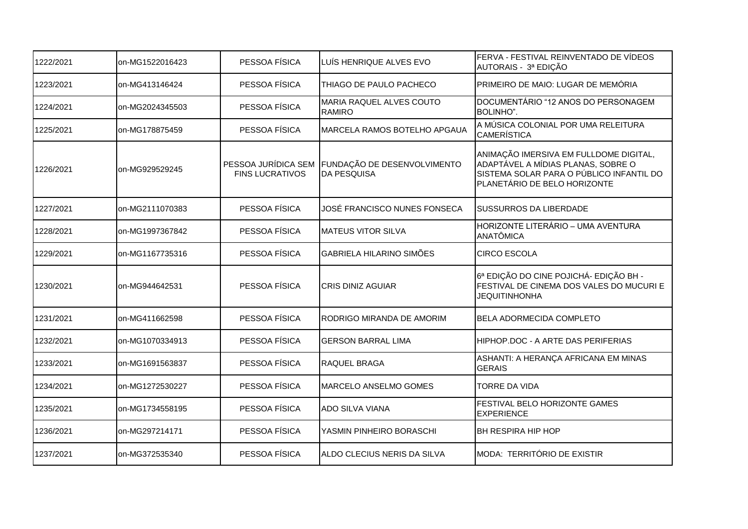| 1222/2021 | on-MG1522016423 | PESSOA FÍSICA          | LUÍS HENRIQUE ALVES EVO                                                | FERVA - FESTIVAL REINVENTADO DE VÍDEOS<br>AUTORAIS - 3ª EDIÇÃO                                                                                           |
|-----------|-----------------|------------------------|------------------------------------------------------------------------|----------------------------------------------------------------------------------------------------------------------------------------------------------|
| 1223/2021 | on-MG413146424  | PESSOA FÍSICA          | THIAGO DE PAULO PACHECO                                                | PRIMEIRO DE MAIO: LUGAR DE MEMÓRIA                                                                                                                       |
| 1224/2021 | on-MG2024345503 | PESSOA FÍSICA          | MARIA RAQUEL ALVES COUTO<br><b>RAMIRO</b>                              | DOCUMENTÁRIO "12 ANOS DO PERSONAGEM<br>BOLINHO".                                                                                                         |
| 1225/2021 | on-MG178875459  | PESSOA FÍSICA          | <b>MARCELA RAMOS BOTELHO APGAUA</b>                                    | A MÚSICA COLONIAL POR UMA RELEITURA<br><b>CAMERÍSTICA</b>                                                                                                |
| 1226/2021 | on-MG929529245  | <b>FINS LUCRATIVOS</b> | PESSOA JURÍDICA SEM FUNDAÇÃO DE DESENVOLVIMENTO<br><b>IDA PESQUISA</b> | ANIMAÇÃO IMERSIVA EM FULLDOME DIGITAL,<br>ADAPTÁVEL A MÍDIAS PLANAS, SOBRE O<br>SISTEMA SOLAR PARA O PÚBLICO INFANTIL DO<br>PLANETÁRIO DE BELO HORIZONTE |
| 1227/2021 | on-MG2111070383 | PESSOA FÍSICA          | JOSÉ FRANCISCO NUNES FONSECA                                           | <b>SUSSURROS DA LIBERDADE</b>                                                                                                                            |
| 1228/2021 | on-MG1997367842 | PESSOA FÍSICA          | <b>MATEUS VITOR SILVA</b>                                              | HORIZONTE LITERÁRIO - UMA AVENTURA<br><b>ANATÔMICA</b>                                                                                                   |
| 1229/2021 | on-MG1167735316 | PESSOA FÍSICA          | GABRIELA HILARINO SIMÕES                                               | <b>CIRCO ESCOLA</b>                                                                                                                                      |
| 1230/2021 | on-MG944642531  | PESSOA FÍSICA          | <b>CRIS DINIZ AGUIAR</b>                                               | 6ª EDIÇÃO DO CINE POJICHÁ- EDIÇÃO BH -<br>FESTIVAL DE CINEMA DOS VALES DO MUCURI E<br><b>JEQUITINHONHA</b>                                               |
| 1231/2021 | on-MG411662598  | PESSOA FÍSICA          | RODRIGO MIRANDA DE AMORIM                                              | BELA ADORMECIDA COMPLETO                                                                                                                                 |
| 1232/2021 | on-MG1070334913 | PESSOA FÍSICA          | <b>GERSON BARRAL LIMA</b>                                              | HIPHOP.DOC - A ARTE DAS PERIFERIAS                                                                                                                       |
| 1233/2021 | on-MG1691563837 | PESSOA FÍSICA          | <b>RAQUEL BRAGA</b>                                                    | ASHANTI: A HERANÇA AFRICANA EM MINAS<br><b>GERAIS</b>                                                                                                    |
| 1234/2021 | on-MG1272530227 | PESSOA FÍSICA          | MARCELO ANSELMO GOMES                                                  | <b>TORRE DA VIDA</b>                                                                                                                                     |
| 1235/2021 | on-MG1734558195 | PESSOA FÍSICA          | <b>ADO SILVA VIANA</b>                                                 | FESTIVAL BELO HORIZONTE GAMES<br><b>EXPERIENCE</b>                                                                                                       |
| 1236/2021 | on-MG297214171  | PESSOA FÍSICA          | YASMIN PINHEIRO BORASCHI                                               | <b>BH RESPIRA HIP HOP</b>                                                                                                                                |
| 1237/2021 | on-MG372535340  | PESSOA FÍSICA          | ALDO CLECIUS NERIS DA SILVA                                            | MODA: TERRITÓRIO DE EXISTIR                                                                                                                              |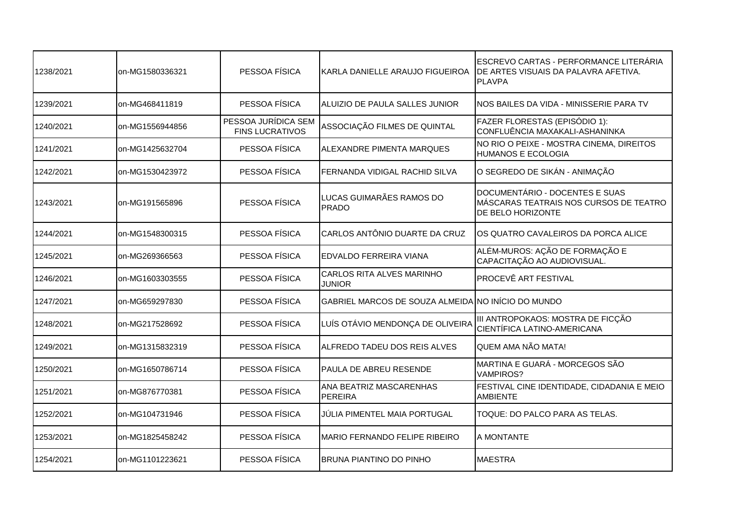| 1238/2021 | on-MG1580336321 | PESSOA FÍSICA                                 | KARLA DANIELLE ARAUJO FIGUEIROA                    | ESCREVO CARTAS - PERFORMANCE LITERÁRIA<br>DE ARTES VISUAIS DA PALAVRA AFETIVA.<br><b>PLAVPA</b> |
|-----------|-----------------|-----------------------------------------------|----------------------------------------------------|-------------------------------------------------------------------------------------------------|
| 1239/2021 | on-MG468411819  | PESSOA FÍSICA                                 | ALUIZIO DE PAULA SALLES JUNIOR                     | NOS BAILES DA VIDA - MINISSERIE PARA TV                                                         |
| 1240/2021 | on-MG1556944856 | PESSOA JURÍDICA SEM<br><b>FINS LUCRATIVOS</b> | ASSOCIAÇÃO FILMES DE QUINTAL                       | FAZER FLORESTAS (EPISÓDIO 1):<br>CONFLUÊNCIA MAXAKALI-ASHANINKA                                 |
| 1241/2021 | on-MG1425632704 | PESSOA FÍSICA                                 | ALEXANDRE PIMENTA MARQUES                          | NO RIO O PEIXE - MOSTRA CINEMA, DIREITOS<br><b>HUMANOS E ECOLOGIA</b>                           |
| 1242/2021 | on-MG1530423972 | PESSOA FÍSICA                                 | FERNANDA VIDIGAL RACHID SILVA                      | O SEGREDO DE SIKÁN - ANIMAÇÃO                                                                   |
| 1243/2021 | on-MG191565896  | PESSOA FÍSICA                                 | LUCAS GUIMARÃES RAMOS DO<br>PRADO                  | DOCUMENTÁRIO - DOCENTES E SUAS<br>MÁSCARAS TEATRAIS NOS CURSOS DE TEATRO<br>DE BELO HORIZONTE   |
| 1244/2021 | on-MG1548300315 | PESSOA FÍSICA                                 | CARLOS ANTÔNIO DUARTE DA CRUZ                      | OS QUATRO CAVALEIROS DA PORCA ALICE                                                             |
| 1245/2021 | on-MG269366563  | PESSOA FÍSICA                                 | EDVALDO FERREIRA VIANA                             | ALÉM-MUROS: AÇÃO DE FORMAÇÃO E<br>CAPACITAÇÃO AO AUDIOVISUAL.                                   |
| 1246/2021 | on-MG1603303555 | PESSOA FÍSICA                                 | <b>CARLOS RITA ALVES MARINHO</b><br><b>JUNIOR</b>  | <b>PROCEVÉ ART FESTIVAL</b>                                                                     |
| 1247/2021 | on-MG659297830  | PESSOA FÍSICA                                 | GABRIEL MARCOS DE SOUZA ALMEIDA NO INÍCIO DO MUNDO |                                                                                                 |
| 1248/2021 | on-MG217528692  | PESSOA FÍSICA                                 | LUÍS OTÁVIO MENDONÇA DE OLIVEIRA                   | III ANTROPOKAOS: MOSTRA DE FICÇÃO<br>CIENTÍFICA LATINO-AMERICANA                                |
| 1249/2021 | on-MG1315832319 | PESSOA FÍSICA                                 | ALFREDO TADEU DOS REIS ALVES                       | <b>QUEM AMA NÃO MATA!</b>                                                                       |
| 1250/2021 | on-MG1650786714 | PESSOA FÍSICA                                 | <b>PAULA DE ABREU RESENDE</b>                      | MARTINA E GUARÁ - MORCEGOS SÃO<br><b>VAMPIROS?</b>                                              |
| 1251/2021 | on-MG876770381  | PESSOA FÍSICA                                 | ANA BEATRIZ MASCARENHAS<br><b>PEREIRA</b>          | FESTIVAL CINE IDENTIDADE, CIDADANIA E MEIO<br><b>AMBIENTE</b>                                   |
| 1252/2021 | on-MG104731946  | PESSOA FÍSICA                                 | JÚLIA PIMENTEL MAIA PORTUGAL                       | TOQUE: DO PALCO PARA AS TELAS.                                                                  |
| 1253/2021 | on-MG1825458242 | PESSOA FÍSICA                                 | MARIO FERNANDO FELIPE RIBEIRO                      | A MONTANTE                                                                                      |
| 1254/2021 | on-MG1101223621 | PESSOA FÍSICA                                 | <b>BRUNA PIANTINO DO PINHO</b>                     | <b>MAESTRA</b>                                                                                  |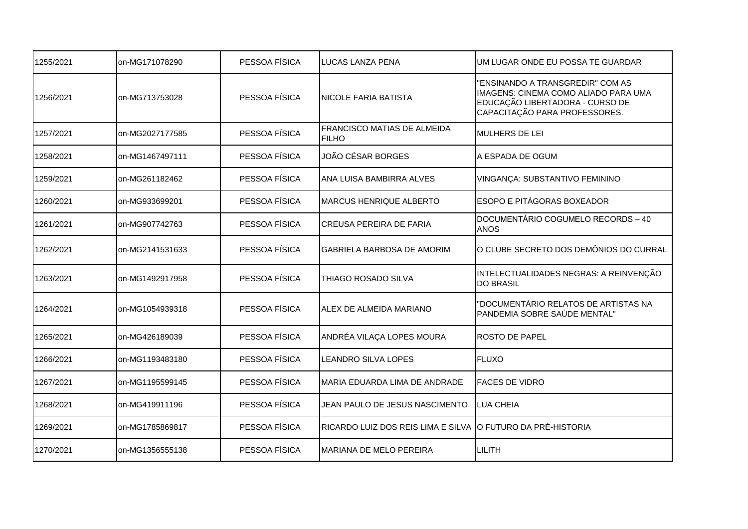| 1255/2021 | on-MG171078290  | PESSOA FÍSICA | LUCAS LANZA PENA                                            | UM LUGAR ONDE EU POSSA TE GUARDAR                                                                                                            |
|-----------|-----------------|---------------|-------------------------------------------------------------|----------------------------------------------------------------------------------------------------------------------------------------------|
| 1256/2021 | on-MG713753028  | PESSOA FÍSICA | <b>NICOLE FARIA BATISTA</b>                                 | 'ENSINANDO A TRANSGREDIR" COM AS<br>IMAGENS: CINEMA COMO ALIADO PARA UMA<br>EDUCAÇÃO LIBERTADORA - CURSO DE<br>CAPACITAÇÃO PARA PROFESSORES. |
| 1257/2021 | on-MG2027177585 | PESSOA FÍSICA | <b>FRANCISCO MATIAS DE ALMEIDA</b><br><b>FILHO</b>          | MULHERS DE LEI                                                                                                                               |
| 1258/2021 | on-MG1467497111 | PESSOA FÍSICA | JOÃO CÉSAR BORGES                                           | A ESPADA DE OGUM                                                                                                                             |
| 1259/2021 | on-MG261182462  | PESSOA FÍSICA | ANA LUISA BAMBIRRA ALVES                                    | VINGANÇA: SUBSTANTIVO FEMININO                                                                                                               |
| 1260/2021 | on-MG933699201  | PESSOA FÍSICA | <b>MARCUS HENRIQUE ALBERTO</b>                              | <b>ESOPO E PITÁGORAS BOXEADOR</b>                                                                                                            |
| 1261/2021 | on-MG907742763  | PESSOA FÍSICA | <b>CREUSA PEREIRA DE FARIA</b>                              | DOCUMENTÁRIO COGUMELO RECORDS - 40<br><b>ANOS</b>                                                                                            |
| 1262/2021 | on-MG2141531633 | PESSOA FÍSICA | <b>GABRIELA BARBOSA DE AMORIM</b>                           | O CLUBE SECRETO DOS DEMÔNIOS DO CURRAL                                                                                                       |
| 1263/2021 | on-MG1492917958 | PESSOA FÍSICA | THIAGO ROSADO SILVA                                         | INTELECTUALIDADES NEGRAS: A REINVENÇÃO<br><b>DO BRASIL</b>                                                                                   |
| 1264/2021 | on-MG1054939318 | PESSOA FÍSICA | ALEX DE ALMEIDA MARIANO                                     | "DOCUMENTÁRIO RELATOS DE ARTISTAS NA<br>PANDEMIA SOBRE SAÚDE MENTAL"                                                                         |
| 1265/2021 | on-MG426189039  | PESSOA FÍSICA | ANDRÉA VILAÇA LOPES MOURA                                   | <b>ROSTO DE PAPEL</b>                                                                                                                        |
| 1266/2021 | on-MG1193483180 | PESSOA FÍSICA | LEANDRO SILVA LOPES                                         | <b>FLUXO</b>                                                                                                                                 |
| 1267/2021 | on-MG1195599145 | PESSOA FÍSICA | MARIA EDUARDA LIMA DE ANDRADE                               | <b>FACES DE VIDRO</b>                                                                                                                        |
| 1268/2021 | on-MG419911196  | PESSOA FÍSICA | JEAN PAULO DE JESUS NASCIMENTO                              | <b>LUA CHEIA</b>                                                                                                                             |
| 1269/2021 | on-MG1785869817 | PESSOA FÍSICA | RICARDO LUIZ DOS REIS LIMA E SILVA O FUTURO DA PRÉ-HISTORIA |                                                                                                                                              |
| 1270/2021 | on-MG1356555138 | PESSOA FÍSICA | MARIANA DE MELO PEREIRA                                     | LILITH                                                                                                                                       |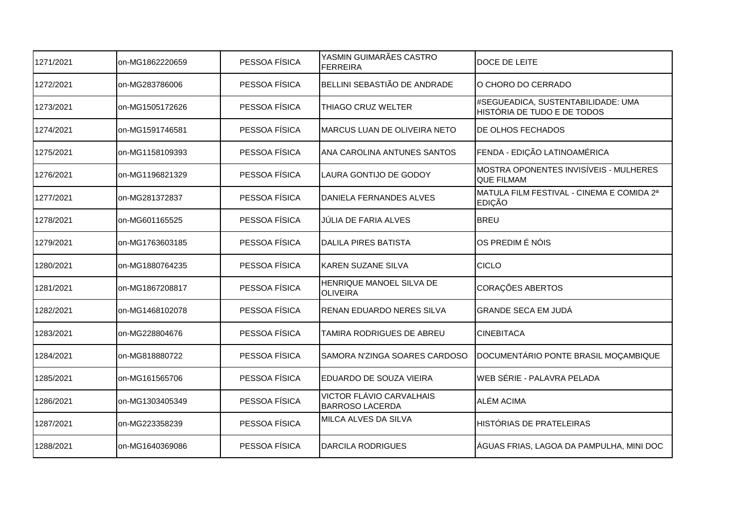| 1271/2021 | on-MG1862220659 | PESSOA FÍSICA | YASMIN GUIMARÃES CASTRO<br><b>FERREIRA</b>         | DOCE DE LEITE                                                     |
|-----------|-----------------|---------------|----------------------------------------------------|-------------------------------------------------------------------|
| 1272/2021 | on-MG283786006  | PESSOA FÍSICA | BELLINI SEBASTIÃO DE ANDRADE                       | O CHORO DO CERRADO                                                |
| 1273/2021 | on-MG1505172626 | PESSOA FÍSICA | THIAGO CRUZ WELTER                                 | #SEGUEADICA, SUSTENTABILIDADE: UMA<br>HISTÓRIA DE TUDO E DE TODOS |
| 1274/2021 | on-MG1591746581 | PESSOA FÍSICA | MARCUS LUAN DE OLIVEIRA NETO                       | DE OLHOS FECHADOS                                                 |
| 1275/2021 | on-MG1158109393 | PESSOA FÍSICA | ANA CAROLINA ANTUNES SANTOS                        | FENDA - EDIÇÃO LATINOAMÉRICA                                      |
| 1276/2021 | on-MG1196821329 | PESSOA FÍSICA | LAURA GONTIJO DE GODOY                             | MOSTRA OPONENTES INVISÍVEIS - MULHERES<br><b>QUE FILMAM</b>       |
| 1277/2021 | on-MG281372837  | PESSOA FÍSICA | DANIELA FERNANDES ALVES                            | MATULA FILM FESTIVAL - CINEMA E COMIDA 2ª<br><b>EDIÇÃO</b>        |
| 1278/2021 | on-MG601165525  | PESSOA FÍSICA | JÚLIA DE FARIA ALVES                               | <b>BREU</b>                                                       |
| 1279/2021 | on-MG1763603185 | PESSOA FÍSICA | <b>DALILA PIRES BATISTA</b>                        | OS PREDIM É NÓIS                                                  |
| 1280/2021 | on-MG1880764235 | PESSOA FÍSICA | <b>KAREN SUZANE SILVA</b>                          | <b>CICLO</b>                                                      |
| 1281/2021 | on-MG1867208817 | PESSOA FÍSICA | HENRIQUE MANOEL SILVA DE<br><b>OLIVEIRA</b>        | CORAÇÕES ABERTOS                                                  |
| 1282/2021 | on-MG1468102078 | PESSOA FÍSICA | RENAN EDUARDO NERES SILVA                          | <b>GRANDE SECA EM JUDÁ</b>                                        |
| 1283/2021 | on-MG228804676  | PESSOA FÍSICA | TAMIRA RODRIGUES DE ABREU                          | <b>CINEBITACA</b>                                                 |
| 1284/2021 | on-MG818880722  | PESSOA FÍSICA | SAMORA N'ZINGA SOARES CARDOSO                      | DOCUMENTÁRIO PONTE BRASIL MOÇAMBIQUE                              |
| 1285/2021 | on-MG161565706  | PESSOA FÍSICA | EDUARDO DE SOUZA VIEIRA                            | WEB SÉRIE - PALAVRA PELADA                                        |
| 1286/2021 | on-MG1303405349 | PESSOA FÍSICA | VICTOR FLÁVIO CARVALHAIS<br><b>BARROSO LACERDA</b> | ALÉM ACIMA                                                        |
| 1287/2021 | on-MG223358239  | PESSOA FÍSICA | MILCA ALVES DA SILVA                               | HISTÓRIAS DE PRATELEIRAS                                          |
| 1288/2021 | on-MG1640369086 | PESSOA FÍSICA | <b>DARCILA RODRIGUES</b>                           | ÁGUAS FRIAS, LAGOA DA PAMPULHA, MINI DOC                          |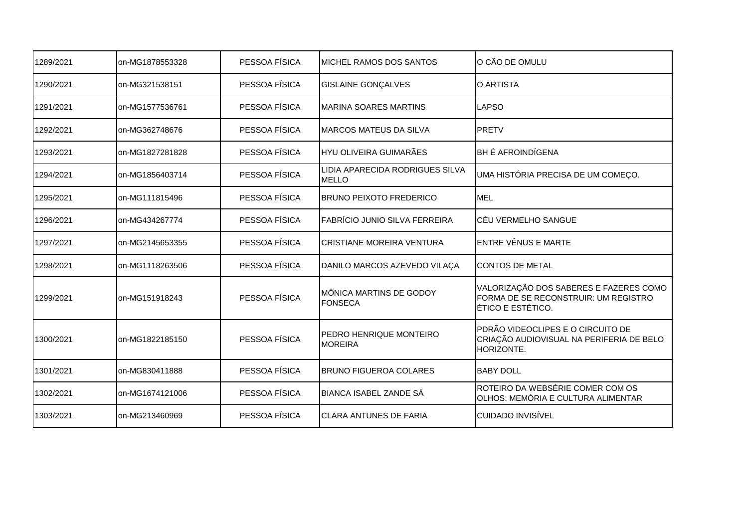| 1289/2021 | on-MG1878553328 | PESSOA FÍSICA | MICHEL RAMOS DOS SANTOS                         | O CÃO DE OMULU                                                                                      |
|-----------|-----------------|---------------|-------------------------------------------------|-----------------------------------------------------------------------------------------------------|
| 1290/2021 | on-MG321538151  | PESSOA FÍSICA | <b>GISLAINE GONÇALVES</b>                       | O ARTISTA                                                                                           |
| 1291/2021 | on-MG1577536761 | PESSOA FÍSICA | <b>MARINA SOARES MARTINS</b>                    | <b>LAPSO</b>                                                                                        |
| 1292/2021 | on-MG362748676  | PESSOA FÍSICA | <b>MARCOS MATEUS DA SILVA</b>                   | PRETV                                                                                               |
| 1293/2021 | on-MG1827281828 | PESSOA FÍSICA | HYU OLIVEIRA GUIMARÃES                          | <b>BH É AFROINDÍGENA</b>                                                                            |
| 1294/2021 | on-MG1856403714 | PESSOA FÍSICA | LIDIA APARECIDA RODRIGUES SILVA<br><b>MELLO</b> | UMA HISTÓRIA PRECISA DE UM COMEÇO.                                                                  |
| 1295/2021 | on-MG111815496  | PESSOA FÍSICA | <b>BRUNO PEIXOTO FREDERICO</b>                  | <b>IMEL</b>                                                                                         |
| 1296/2021 | on-MG434267774  | PESSOA FÍSICA | FABRÍCIO JUNIO SILVA FERREIRA                   | CÉU VERMELHO SANGUE                                                                                 |
| 1297/2021 | on-MG2145653355 | PESSOA FÍSICA | <b>CRISTIANE MOREIRA VENTURA</b>                | ENTRE VÊNUS E MARTE                                                                                 |
| 1298/2021 | on-MG1118263506 | PESSOA FÍSICA | DANILO MARCOS AZEVEDO VILAÇA                    | <b>CONTOS DE METAL</b>                                                                              |
| 1299/2021 | on-MG151918243  | PESSOA FÍSICA | MÔNICA MARTINS DE GODOY<br><b>FONSECA</b>       | VALORIZAÇÃO DOS SABERES E FAZERES COMO<br>FORMA DE SE RECONSTRUIR: UM REGISTRO<br>ÉTICO E ESTÉTICO. |
| 1300/2021 | on-MG1822185150 | PESSOA FÍSICA | PEDRO HENRIQUE MONTEIRO<br><b>MOREIRA</b>       | PDRÃO VIDEOCLIPES E O CIRCUITO DE<br>CRIAÇÃO AUDIOVISUAL NA PERIFERIA DE BELO<br>HORIZONTE.         |
| 1301/2021 | on-MG830411888  | PESSOA FÍSICA | <b>BRUNO FIGUEROA COLARES</b>                   | <b>BABY DOLL</b>                                                                                    |
| 1302/2021 | on-MG1674121006 | PESSOA FÍSICA | <b>BIANCA ISABEL ZANDE SÁ</b>                   | ROTEIRO DA WEBSÉRIE COMER COM OS<br>OLHOS: MEMÓRIA E CULTURA ALIMENTAR                              |
| 1303/2021 | on-MG213460969  | PESSOA FÍSICA | <b>CLARA ANTUNES DE FARIA</b>                   | <b>CUIDADO INVISÍVEL</b>                                                                            |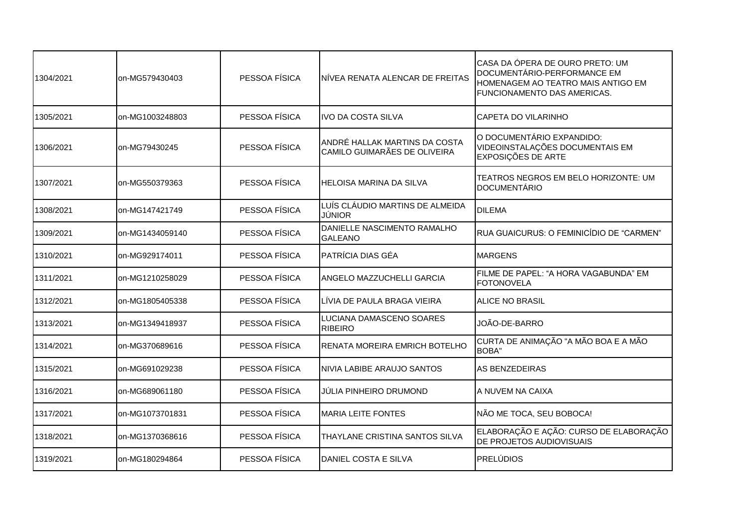|           |                 |               |                                                                | <b>CASA DA ÓPERA DE OURO PRETO: UM</b><br>DOCUMENTÁRIO-PERFORMANCE EM              |
|-----------|-----------------|---------------|----------------------------------------------------------------|------------------------------------------------------------------------------------|
| 1304/2021 | on-MG579430403  | PESSOA FÍSICA | NÍVEA RENATA ALENCAR DE FREITAS                                | HOMENAGEM AO TEATRO MAIS ANTIGO EM<br><b>FUNCIONAMENTO DAS AMERICAS.</b>           |
| 1305/2021 | on-MG1003248803 | PESSOA FÍSICA | IVO DA COSTA SILVA                                             | CAPETA DO VILARINHO                                                                |
| 1306/2021 | on-MG79430245   | PESSOA FÍSICA | IANDRÉ HALLAK MARTINS DA COSTA<br>CAMILO GUIMARÃES DE OLIVEIRA | O DOCUMENTÁRIO EXPANDIDO:<br>VIDEOINSTALAÇÕES DOCUMENTAIS EM<br>EXPOSIÇÕES DE ARTE |
| 1307/2021 | on-MG550379363  | PESSOA FÍSICA | HELOISA MARINA DA SILVA                                        | TEATROS NEGROS EM BELO HORIZONTE: UM<br>DOCUMENTÁRIO                               |
| 1308/2021 | on-MG147421749  | PESSOA FÍSICA | LUÍS CLÁUDIO MARTINS DE ALMEIDA<br><b>JÚNIOR</b>               | <b>DILEMA</b>                                                                      |
| 1309/2021 | on-MG1434059140 | PESSOA FÍSICA | DANIELLE NASCIMENTO RAMALHO<br><b>GALEANO</b>                  | RUA GUAICURUS: O FEMINICÍDIO DE "CARMEN"                                           |
| 1310/2021 | on-MG929174011  | PESSOA FÍSICA | PATRÍCIA DIAS GÉA                                              | <b>MARGENS</b>                                                                     |
| 1311/2021 | on-MG1210258029 | PESSOA FÍSICA | ANGELO MAZZUCHELLI GARCIA                                      | FILME DE PAPEL: "A HORA VAGABUNDA" EM<br><b>FOTONOVELA</b>                         |
| 1312/2021 | on-MG1805405338 | PESSOA FÍSICA | <b>I</b> LÍVIA DE PAULA BRAGA VIEIRA                           | ALICE NO BRASIL                                                                    |
| 1313/2021 | on-MG1349418937 | PESSOA FÍSICA | LUCIANA DAMASCENO SOARES<br><b>RIBEIRO</b>                     | JOÃO-DE-BARRO                                                                      |
| 1314/2021 | on-MG370689616  | PESSOA FÍSICA | RENATA MOREIRA EMRICH BOTELHO                                  | CURTA DE ANIMAÇÃO "A MÃO BOA E A MÃO<br><b>BOBA</b> "                              |
| 1315/2021 | on-MG691029238  | PESSOA FÍSICA | NIVIA LABIBE ARAUJO SANTOS                                     | <b>AS BENZEDEIRAS</b>                                                              |
| 1316/2021 | on-MG689061180  | PESSOA FÍSICA | JÚLIA PINHEIRO DRUMOND                                         | A NUVEM NA CAIXA                                                                   |
| 1317/2021 | on-MG1073701831 | PESSOA FÍSICA | <b>MARIA LEITE FONTES</b>                                      | NÃO ME TOCA, SEU BOBOCA!                                                           |
| 1318/2021 | on-MG1370368616 | PESSOA FÍSICA | THAYLANE CRISTINA SANTOS SILVA                                 | ELABORAÇÃO E AÇÃO: CURSO DE ELABORAÇÃO<br><b>DE PROJETOS AUDIOVISUAIS</b>          |
| 1319/2021 | on-MG180294864  | PESSOA FÍSICA | <b>I</b> DANIEL COSTA E SILVA                                  | <b>PRELÚDIOS</b>                                                                   |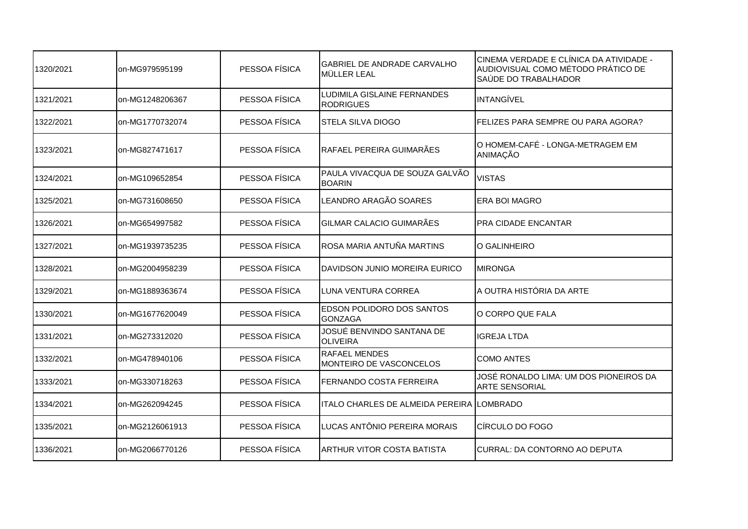| 1320/2021 | on-MG979595199  | PESSOA FÍSICA | <b>GABRIEL DE ANDRADE CARVALHO</b><br>MÜLLER LEAL | CINEMA VERDADE E CLÍNICA DA ATIVIDADE -<br>AUDIOVISUAL COMO MÉTODO PRÁTICO DE<br>SAÚDE DO TRABALHADOR |
|-----------|-----------------|---------------|---------------------------------------------------|-------------------------------------------------------------------------------------------------------|
| 1321/2021 | on-MG1248206367 | PESSOA FÍSICA | LUDIMILA GISLAINE FERNANDES<br><b>RODRIGUES</b>   | <b>INTANGÍVEL</b>                                                                                     |
| 1322/2021 | on-MG1770732074 | PESSOA FÍSICA | <b>STELA SILVA DIOGO</b>                          | FELIZES PARA SEMPRE OU PARA AGORA?                                                                    |
| 1323/2021 | on-MG827471617  | PESSOA FÍSICA | RAFAEL PEREIRA GUIMARÃES                          | O HOMEM-CAFÉ - LONGA-METRAGEM EM<br>ANIMAÇÃO                                                          |
| 1324/2021 | on-MG109652854  | PESSOA FÍSICA | PAULA VIVACQUA DE SOUZA GALVÃO<br><b>BOARIN</b>   | <b>VISTAS</b>                                                                                         |
| 1325/2021 | on-MG731608650  | PESSOA FÍSICA | LEANDRO ARAGÃO SOARES                             | <b>ERA BOI MAGRO</b>                                                                                  |
| 1326/2021 | on-MG654997582  | PESSOA FÍSICA | GILMAR CALACIO GUIMARÃES                          | <b>PRA CIDADE ENCANTAR</b>                                                                            |
| 1327/2021 | on-MG1939735235 | PESSOA FÍSICA | ROSA MARIA ANTUÑA MARTINS                         | O GALINHEIRO                                                                                          |
| 1328/2021 | on-MG2004958239 | PESSOA FÍSICA | DAVIDSON JUNIO MOREIRA EURICO                     | <b>MIRONGA</b>                                                                                        |
| 1329/2021 | on-MG1889363674 | PESSOA FÍSICA | <b>LUNA VENTURA CORREA</b>                        | A OUTRA HISTÓRIA DA ARTE                                                                              |
| 1330/2021 | on-MG1677620049 | PESSOA FÍSICA | EDSON POLIDORO DOS SANTOS<br><b>GONZAGA</b>       | O CORPO QUE FALA                                                                                      |
| 1331/2021 | on-MG273312020  | PESSOA FÍSICA | JOSUÉ BENVINDO SANTANA DE<br><b>OLIVEIRA</b>      | <b>IGREJA LTDA</b>                                                                                    |
| 1332/2021 | on-MG478940106  | PESSOA FÍSICA | <b>RAFAEL MENDES</b><br>MONTEIRO DE VASCONCELOS   | <b>COMO ANTES</b>                                                                                     |
| 1333/2021 | on-MG330718263  | PESSOA FÍSICA | FERNANDO COSTA FERREIRA                           | JOSÉ RONALDO LIMA: UM DOS PIONEIROS DA<br><b>ARTE SENSORIAL</b>                                       |
| 1334/2021 | on-MG262094245  | PESSOA FÍSICA | ITALO CHARLES DE ALMEIDA PEREIRA LOMBRADO         |                                                                                                       |
| 1335/2021 | on-MG2126061913 | PESSOA FÍSICA | LUCAS ANTÔNIO PEREIRA MORAIS                      | CÍRCULO DO FOGO                                                                                       |
| 1336/2021 | on-MG2066770126 | PESSOA FÍSICA | ARTHUR VITOR COSTA BATISTA                        | CURRAL: DA CONTORNO AO DEPUTA                                                                         |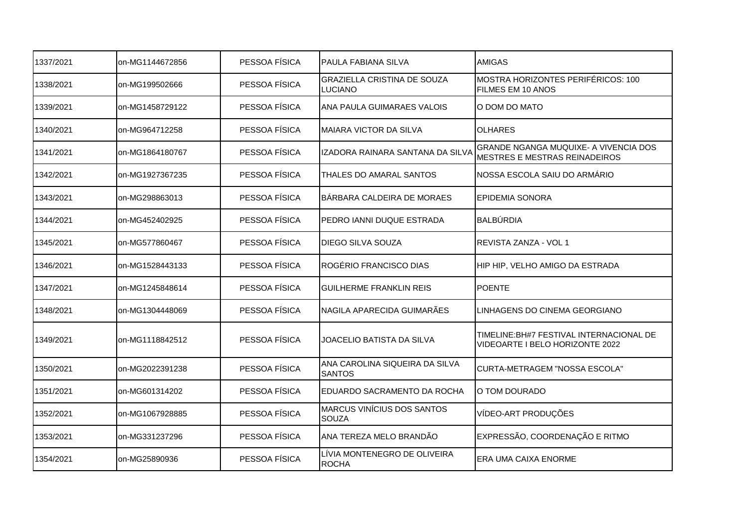| 1337/2021 | on-MG1144672856 | PESSOA FÍSICA | <b>PAULA FABIANA SILVA</b>                        | <b>AMIGAS</b>                                                                        |
|-----------|-----------------|---------------|---------------------------------------------------|--------------------------------------------------------------------------------------|
| 1338/2021 | on-MG199502666  | PESSOA FÍSICA | <b>GRAZIELLA CRISTINA DE SOUZA</b><br>LUCIANO     | MOSTRA HORIZONTES PERIFÉRICOS: 100<br>FILMES EM 10 ANOS                              |
| 1339/2021 | on-MG1458729122 | PESSOA FÍSICA | ANA PAULA GUIMARAES VALOIS                        | O DOM DO MATO                                                                        |
| 1340/2021 | on-MG964712258  | PESSOA FÍSICA | MAIARA VICTOR DA SILVA                            | <b>OLHARES</b>                                                                       |
| 1341/2021 | on-MG1864180767 | PESSOA FÍSICA | IZADORA RAINARA SANTANA DA SILVA                  | <b>GRANDE NGANGA MUQUIXE- A VIVENCIA DOS</b><br><b>MESTRES E MESTRAS REINADEIROS</b> |
| 1342/2021 | on-MG1927367235 | PESSOA FÍSICA | THALES DO AMARAL SANTOS                           | INOSSA ESCOLA SAIU DO ARMÁRIO                                                        |
| 1343/2021 | on-MG298863013  | PESSOA FÍSICA | BÁRBARA CALDEIRA DE MORAES                        | EPIDEMIA SONORA                                                                      |
| 1344/2021 | on-MG452402925  | PESSOA FÍSICA | IPEDRO IANNI DUQUE ESTRADA                        | BALBÚRDIA                                                                            |
| 1345/2021 | on-MG577860467  | PESSOA FÍSICA | DIEGO SILVA SOUZA                                 | REVISTA ZANZA - VOL 1                                                                |
| 1346/2021 | on-MG1528443133 | PESSOA FÍSICA | ROGÉRIO FRANCISCO DIAS                            | HIP HIP, VELHO AMIGO DA ESTRADA                                                      |
| 1347/2021 | on-MG1245848614 | PESSOA FÍSICA | <b>GUILHERME FRANKLIN REIS</b>                    | <b>POENTE</b>                                                                        |
| 1348/2021 | on-MG1304448069 | PESSOA FÍSICA | NAGILA APARECIDA GUIMARÃES                        | LINHAGENS DO CINEMA GEORGIANO                                                        |
| 1349/2021 | on-MG1118842512 | PESSOA FÍSICA | JOACELIO BATISTA DA SILVA                         | TIMELINE: BH#7 FESTIVAL INTERNACIONAL DE<br>VIDEOARTE I BELO HORIZONTE 2022          |
| 1350/2021 | on-MG2022391238 | PESSOA FÍSICA | ANA CAROLINA SIQUEIRA DA SILVA<br><b>SANTOS</b>   | CURTA-METRAGEM "NOSSA ESCOLA"                                                        |
| 1351/2021 | on-MG601314202  | PESSOA FÍSICA | EDUARDO SACRAMENTO DA ROCHA                       | O TOM DOURADO                                                                        |
| 1352/2021 | on-MG1067928885 | PESSOA FÍSICA | <b>MARCUS VINÍCIUS DOS SANTOS</b><br><b>SOUZA</b> | VÍDEO-ART PRODUÇÕES                                                                  |
| 1353/2021 | on-MG331237296  | PESSOA FÍSICA | ANA TEREZA MELO BRANDÃO                           | EXPRESSÃO, COORDENAÇÃO E RITMO                                                       |
| 1354/2021 | on-MG25890936   | PESSOA FÍSICA | LÍVIA MONTENEGRO DE OLIVEIRA<br><b>ROCHA</b>      | ERA UMA CAIXA ENORME                                                                 |
|           |                 |               |                                                   |                                                                                      |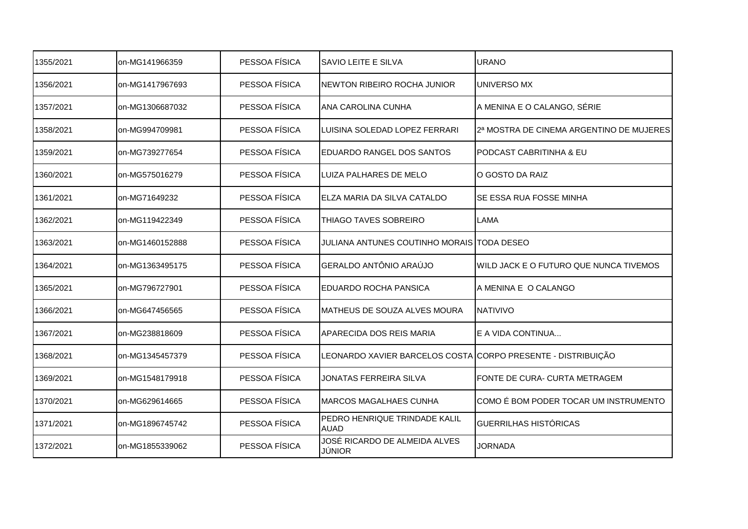| 1355/2021 | on-MG141966359  | PESSOA FÍSICA | SAVIO LEITE E SILVA                                          | <b>URANO</b>                             |
|-----------|-----------------|---------------|--------------------------------------------------------------|------------------------------------------|
| 1356/2021 | on-MG1417967693 | PESSOA FÍSICA | <b>NEWTON RIBEIRO ROCHA JUNIOR</b>                           | UNIVERSO MX                              |
| 1357/2021 | on-MG1306687032 | PESSOA FÍSICA | ANA CAROLINA CUNHA                                           | A MENINA E O CALANGO, SÉRIE              |
| 1358/2021 | on-MG994709981  | PESSOA FÍSICA | LUISINA SOLEDAD LOPEZ FERRARI                                | 2ª MOSTRA DE CINEMA ARGENTINO DE MUJERES |
| 1359/2021 | on-MG739277654  | PESSOA FÍSICA | EDUARDO RANGEL DOS SANTOS                                    | PODCAST CABRITINHA & EU                  |
| 1360/2021 | on-MG575016279  | PESSOA FÍSICA | LUIZA PALHARES DE MELO                                       | O GOSTO DA RAIZ                          |
| 1361/2021 | on-MG71649232   | PESSOA FÍSICA | ELZA MARIA DA SILVA CATALDO                                  | SE ESSA RUA FOSSE MINHA                  |
| 1362/2021 | on-MG119422349  | PESSOA FÍSICA | THIAGO TAVES SOBREIRO                                        | <b>LAMA</b>                              |
| 1363/2021 | on-MG1460152888 | PESSOA FÍSICA | JULIANA ANTUNES COUTINHO MORAIS TODA DESEO                   |                                          |
| 1364/2021 | on-MG1363495175 | PESSOA FÍSICA | GERALDO ANTÔNIO ARAÚJO                                       | WILD JACK E O FUTURO QUE NUNCA TIVEMOS   |
| 1365/2021 | on-MG796727901  | PESSOA FÍSICA | EDUARDO ROCHA PANSICA                                        | A MENINA E O CALANGO                     |
| 1366/2021 | on-MG647456565  | PESSOA FÍSICA | MATHEUS DE SOUZA ALVES MOURA                                 | <b>NATIVIVO</b>                          |
| 1367/2021 | on-MG238818609  | PESSOA FÍSICA | APARECIDA DOS REIS MARIA                                     | E A VIDA CONTINUA                        |
| 1368/2021 | on-MG1345457379 | PESSOA FÍSICA | LEONARDO XAVIER BARCELOS COSTA CORPO PRESENTE - DISTRIBUIÇÃO |                                          |
| 1369/2021 | on-MG1548179918 | PESSOA FÍSICA | <b>JONATAS FERREIRA SILVA</b>                                | FONTE DE CURA- CURTA METRAGEM            |
| 1370/2021 | on-MG629614665  | PESSOA FÍSICA | <b>MARCOS MAGALHAES CUNHA</b>                                | COMO É BOM PODER TOCAR UM INSTRUMENTO    |
| 1371/2021 | on-MG1896745742 | PESSOA FÍSICA | PEDRO HENRIQUE TRINDADE KALIL<br><b>AUAD</b>                 | <b>GUERRILHAS HISTÓRICAS</b>             |
| 1372/2021 | on-MG1855339062 | PESSOA FÍSICA | JOSÉ RICARDO DE ALMEIDA ALVES<br>JÚNIOR                      | <b>JORNADA</b>                           |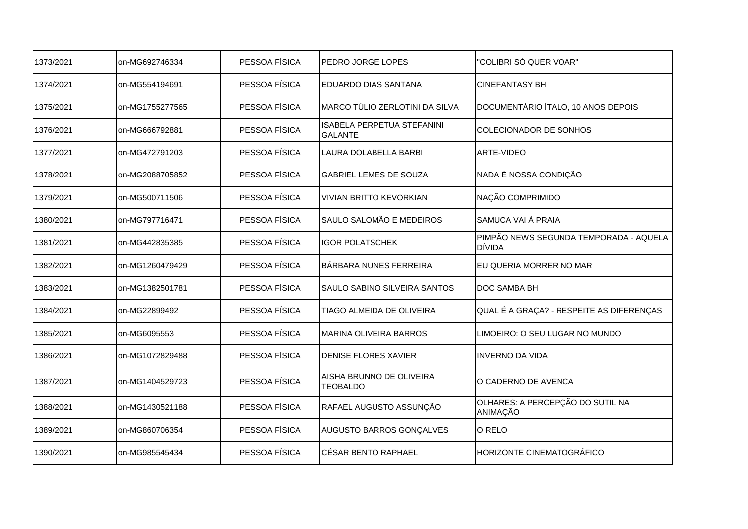| 1373/2021 | on-MG692746334  | PESSOA FÍSICA | PEDRO JORGE LOPES                            | "COLIBRI SÓ QUER VOAR"                                  |
|-----------|-----------------|---------------|----------------------------------------------|---------------------------------------------------------|
| 1374/2021 | on-MG554194691  | PESSOA FÍSICA | <b>EDUARDO DIAS SANTANA</b>                  | <b>CINEFANTASY BH</b>                                   |
| 1375/2021 | on-MG1755277565 | PESSOA FÍSICA | <b>I</b> MARCO TÚLIO ZERLOTINI DA SILVA      | DOCUMENTÁRIO ÍTALO, 10 ANOS DEPOIS                      |
| 1376/2021 | on-MG666792881  | PESSOA FÍSICA | ISABELA PERPETUA STEFANINI<br><b>GALANTE</b> | <b>COLECIONADOR DE SONHOS</b>                           |
| 1377/2021 | on-MG472791203  | PESSOA FÍSICA | LAURA DOLABELLA BARBI                        | ARTE-VIDEO                                              |
| 1378/2021 | on-MG2088705852 | PESSOA FÍSICA | <b>GABRIEL LEMES DE SOUZA</b>                | NADA É NOSSA CONDIÇÃO                                   |
| 1379/2021 | on-MG500711506  | PESSOA FÍSICA | <b>VIVIAN BRITTO KEVORKIAN</b>               | NAÇÃO COMPRIMIDO                                        |
| 1380/2021 | on-MG797716471  | PESSOA FÍSICA | SAULO SALOMÃO E MEDEIROS                     | SAMUCA VAI À PRAIA                                      |
| 1381/2021 | on-MG442835385  | PESSOA FÍSICA | <b>IGOR POLATSCHEK</b>                       | PIMPÃO NEWS SEGUNDA TEMPORADA - AQUELA<br><b>DÍVIDA</b> |
| 1382/2021 | on-MG1260479429 | PESSOA FÍSICA | BÁRBARA NUNES FERREIRA                       | EU QUERIA MORRER NO MAR                                 |
| 1383/2021 | on-MG1382501781 | PESSOA FÍSICA | <b>SAULO SABINO SILVEIRA SANTOS</b>          | <b>DOC SAMBA BH</b>                                     |
| 1384/2021 | on-MG22899492   | PESSOA FÍSICA | TIAGO ALMEIDA DE OLIVEIRA                    | QUAL É A GRAÇA? - RESPEITE AS DIFERENÇAS                |
| 1385/2021 | on-MG6095553    | PESSOA FÍSICA | <b>MARINA OLIVEIRA BARROS</b>                | LIMOEIRO: O SEU LUGAR NO MUNDO                          |
| 1386/2021 | on-MG1072829488 | PESSOA FÍSICA | <b>DENISE FLORES XAVIER</b>                  | <b>INVERNO DA VIDA</b>                                  |
| 1387/2021 | on-MG1404529723 | PESSOA FÍSICA | AISHA BRUNNO DE OLIVEIRA<br><b>TEOBALDO</b>  | O CADERNO DE AVENCA                                     |
| 1388/2021 | on-MG1430521188 | PESSOA FÍSICA | RAFAEL AUGUSTO ASSUNÇÃO                      | OLHARES: A PERCEPÇÃO DO SUTIL NA<br>ANIMAÇÃO            |
| 1389/2021 | on-MG860706354  | PESSOA FÍSICA | AUGUSTO BARROS GONÇALVES                     | O RELO                                                  |
| 1390/2021 | on-MG985545434  | PESSOA FÍSICA | <b>CÉSAR BENTO RAPHAEL</b>                   | HORIZONTE CINEMATOGRÁFICO                               |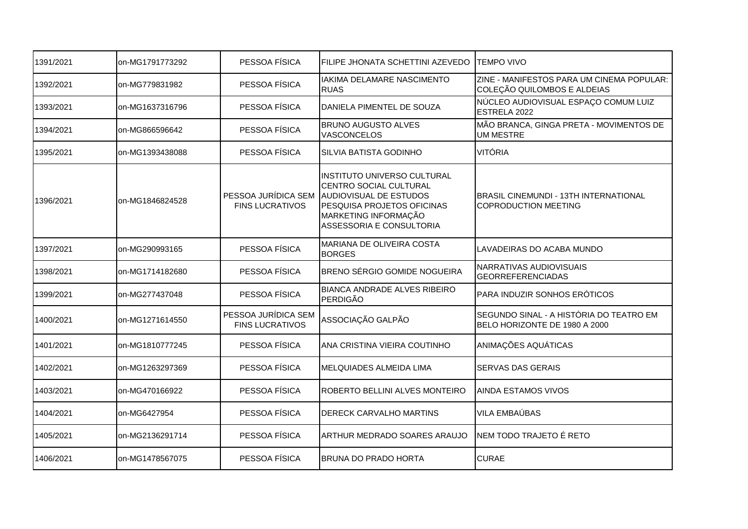| 1391/2021 | on-MG1791773292 | PESSOA FÍSICA                                 | FILIPE JHONATA SCHETTINI AZEVEDO                                                                                                                                                             | <b>TEMPO VIVO</b>                                                        |
|-----------|-----------------|-----------------------------------------------|----------------------------------------------------------------------------------------------------------------------------------------------------------------------------------------------|--------------------------------------------------------------------------|
| 1392/2021 | on-MG779831982  | PESSOA FÍSICA                                 | IAKIMA DELAMARE NASCIMENTO<br><b>RUAS</b>                                                                                                                                                    | ZINE - MANIFESTOS PARA UM CINEMA POPULAR:<br>COLEÇÃO QUILOMBOS E ALDEIAS |
| 1393/2021 | on-MG1637316796 | PESSOA FÍSICA                                 | DANIELA PIMENTEL DE SOUZA                                                                                                                                                                    | NÚCLEO AUDIOVISUAL ESPAÇO COMUM LUIZ<br>ESTRELA 2022                     |
| 1394/2021 | on-MG866596642  | PESSOA FÍSICA                                 | <b>BRUNO AUGUSTO ALVES</b><br><b>VASCONCELOS</b>                                                                                                                                             | MÃO BRANCA, GINGA PRETA - MOVIMENTOS DE<br><b>UM MESTRE</b>              |
| 1395/2021 | on-MG1393438088 | PESSOA FÍSICA                                 | SILVIA BATISTA GODINHO                                                                                                                                                                       | VITÓRIA                                                                  |
| 1396/2021 | on-MG1846824528 | <b>FINS LUCRATIVOS</b>                        | INSTITUTO UNIVERSO CULTURAL<br>CENTRO SOCIAL CULTURAL<br>PESSOA JURÍDICA SEM AUDIOVISUAL DE ESTUDOS<br><b>PESQUISA PROJETOS OFICINAS</b><br>MARKETING INFORMAÇÃO<br>ASSESSORIA E CONSULTORIA | IBRASIL CINEMUNDI - 13TH INTERNATIONAL<br><b>COPRODUCTION MEETING</b>    |
| 1397/2021 | on-MG290993165  | PESSOA FÍSICA                                 | MARIANA DE OLIVEIRA COSTA<br><b>BORGES</b>                                                                                                                                                   | LAVADEIRAS DO ACABA MUNDO                                                |
| 1398/2021 | on-MG1714182680 | PESSOA FÍSICA                                 | <b>BRENO SÉRGIO GOMIDE NOGUEIRA</b>                                                                                                                                                          | NARRATIVAS AUDIOVISUAIS<br><b>GEORREFERENCIADAS</b>                      |
| 1399/2021 | on-MG277437048  | PESSOA FÍSICA                                 | <b>BIANCA ANDRADE ALVES RIBEIRO</b><br>PERDIGÃO                                                                                                                                              | PARA INDUZIR SONHOS ERÓTICOS                                             |
| 1400/2021 | on-MG1271614550 | PESSOA JURÍDICA SEM<br><b>FINS LUCRATIVOS</b> | ASSOCIAÇÃO GALPÃO                                                                                                                                                                            | SEGUNDO SINAL - A HISTÓRIA DO TEATRO EM<br>BELO HORIZONTE DE 1980 A 2000 |
| 1401/2021 | on-MG1810777245 | PESSOA FÍSICA                                 | ANA CRISTINA VIEIRA COUTINHO                                                                                                                                                                 | ANIMAÇÕES AQUÁTICAS                                                      |
| 1402/2021 | on-MG1263297369 | PESSOA FÍSICA                                 | MELQUIADES ALMEIDA LIMA                                                                                                                                                                      | <b>SERVAS DAS GERAIS</b>                                                 |
| 1403/2021 | on-MG470166922  | PESSOA FÍSICA                                 | ROBERTO BELLINI ALVES MONTEIRO                                                                                                                                                               | IAINDA ESTAMOS VIVOS                                                     |
| 1404/2021 | on-MG6427954    | PESSOA FÍSICA                                 | <b>DERECK CARVALHO MARTINS</b>                                                                                                                                                               | <b>VILA EMBAÚBAS</b>                                                     |
| 1405/2021 | on-MG2136291714 | PESSOA FÍSICA                                 | ARTHUR MEDRADO SOARES ARAUJO                                                                                                                                                                 | INEM TODO TRAJETO É RETO                                                 |
| 1406/2021 | on-MG1478567075 | PESSOA FÍSICA                                 | <b>BRUNA DO PRADO HORTA</b>                                                                                                                                                                  | <b>CURAE</b>                                                             |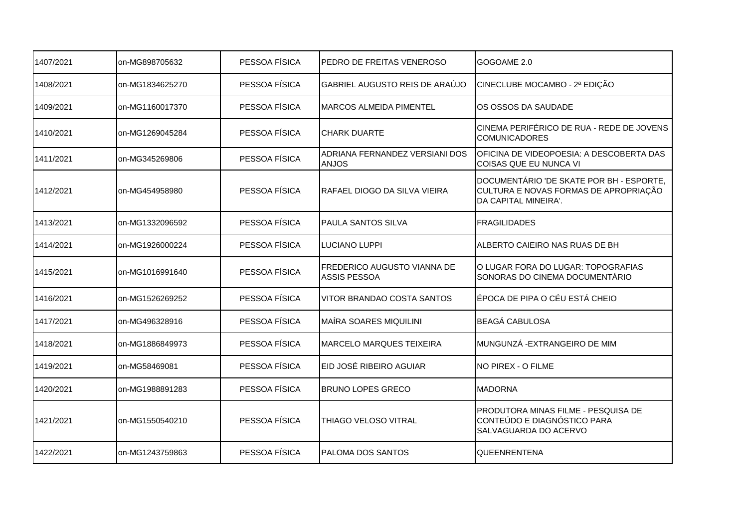| 1407/2021 | on-MG898705632  | PESSOA FÍSICA | PEDRO DE FREITAS VENEROSO                          | GOGOAME 2.0                                                                                               |
|-----------|-----------------|---------------|----------------------------------------------------|-----------------------------------------------------------------------------------------------------------|
| 1408/2021 | on-MG1834625270 | PESSOA FÍSICA | GABRIEL AUGUSTO REIS DE ARAÚJO                     | CINECLUBE MOCAMBO - 2ª EDIÇÃO                                                                             |
| 1409/2021 | on-MG1160017370 | PESSOA FÍSICA | MARCOS ALMEIDA PIMENTEL                            | OS OSSOS DA SAUDADE                                                                                       |
| 1410/2021 | on-MG1269045284 | PESSOA FÍSICA | <b>CHARK DUARTE</b>                                | CINEMA PERIFÉRICO DE RUA - REDE DE JOVENS<br><b>COMUNICADORES</b>                                         |
| 1411/2021 | on-MG345269806  | PESSOA FÍSICA | ADRIANA FERNANDEZ VERSIANI DOS<br><b>ANJOS</b>     | OFICINA DE VIDEOPOESIA: A DESCOBERTA DAS<br>COISAS QUE EU NUNCA VI                                        |
| 1412/2021 | on-MG454958980  | PESSOA FÍSICA | RAFAEL DIOGO DA SILVA VIEIRA                       | DOCUMENTÁRIO 'DE SKATE POR BH - ESPORTE,<br>CULTURA E NOVAS FORMAS DE APROPRIAÇÃO<br>DA CAPITAL MINEIRA'. |
| 1413/2021 | on-MG1332096592 | PESSOA FÍSICA | PAULA SANTOS SILVA                                 | <b>FRAGILIDADES</b>                                                                                       |
| 1414/2021 | on-MG1926000224 | PESSOA FÍSICA | LUCIANO LUPPI                                      | ALBERTO CAIEIRO NAS RUAS DE BH                                                                            |
| 1415/2021 | on-MG1016991640 | PESSOA FÍSICA | FREDERICO AUGUSTO VIANNA DE<br><b>ASSIS PESSOA</b> | O LUGAR FORA DO LUGAR: TOPOGRAFIAS<br>SONORAS DO CINEMA DOCUMENTÁRIO                                      |
| 1416/2021 | on-MG1526269252 | PESSOA FÍSICA | VITOR BRANDAO COSTA SANTOS                         | ÉPOCA DE PIPA O CÉU ESTÁ CHEIO                                                                            |
| 1417/2021 | on-MG496328916  | PESSOA FÍSICA | MAÍRA SOARES MIQUILINI                             | <b>BEAGÁ CABULOSA</b>                                                                                     |
| 1418/2021 | on-MG1886849973 | PESSOA FÍSICA | <b>MARCELO MARQUES TEIXEIRA</b>                    | MUNGUNZÁ - EXTRANGEIRO DE MIM                                                                             |
| 1419/2021 | on-MG58469081   | PESSOA FÍSICA | EID JOSÉ RIBEIRO AGUIAR                            | NO PIREX - O FILME                                                                                        |
| 1420/2021 | on-MG1988891283 | PESSOA FÍSICA | <b>BRUNO LOPES GRECO</b>                           | <b>MADORNA</b>                                                                                            |
| 1421/2021 | on-MG1550540210 | PESSOA FÍSICA | THIAGO VELOSO VITRAL                               | PRODUTORA MINAS FILME - PESQUISA DE<br>CONTEÚDO E DIAGNÓSTICO PARA<br>SALVAGUARDA DO ACERVO               |
| 1422/2021 | on-MG1243759863 | PESSOA FÍSICA | PALOMA DOS SANTOS                                  | QUEENRENTENA                                                                                              |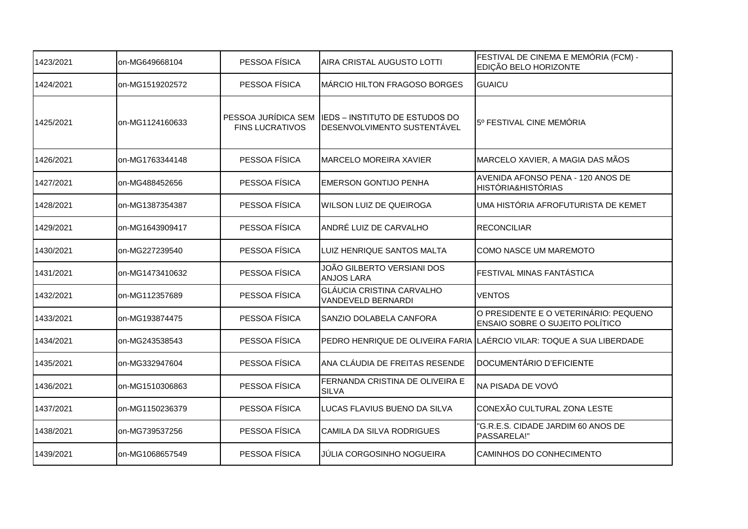| 1423/2021 | on-MG649668104  | PESSOA FÍSICA          | AIRA CRISTAL AUGUSTO LOTTI                                                        | FESTIVAL DE CINEMA E MEMÓRIA (FCM) -<br>EDIÇÃO BELO HORIZONTE                   |
|-----------|-----------------|------------------------|-----------------------------------------------------------------------------------|---------------------------------------------------------------------------------|
| 1424/2021 | on-MG1519202572 | PESSOA FÍSICA          | MÁRCIO HILTON FRAGOSO BORGES                                                      | <b>GUAICU</b>                                                                   |
| 1425/2021 | on-MG1124160633 | <b>FINS LUCRATIVOS</b> | PESSOA JURÍDICA SEM IEDS - INSTITUTO DE ESTUDOS DO<br>DESENVOLVIMENTO SUSTENTÁVEL | 5º FESTIVAL CINE MEMÓRIA                                                        |
| 1426/2021 | on-MG1763344148 | PESSOA FÍSICA          | <b>MARCELO MOREIRA XAVIER</b>                                                     | MARCELO XAVIER, A MAGIA DAS MÃOS                                                |
| 1427/2021 | on-MG488452656  | PESSOA FÍSICA          | <b>EMERSON GONTIJO PENHA</b>                                                      | AVENIDA AFONSO PENA - 120 ANOS DE<br><b>HISTÓRIA&amp;HISTÓRIAS</b>              |
| 1428/2021 | on-MG1387354387 | PESSOA FÍSICA          | <b>I</b> WILSON LUIZ DE QUEIROGA                                                  | UMA HISTÓRIA AFROFUTURISTA DE KEMET                                             |
| 1429/2021 | on-MG1643909417 | PESSOA FÍSICA          | ANDRÉ LUIZ DE CARVALHO                                                            | <b>RECONCILIAR</b>                                                              |
| 1430/2021 | on-MG227239540  | PESSOA FÍSICA          | LUIZ HENRIQUE SANTOS MALTA                                                        | COMO NASCE UM MAREMOTO                                                          |
| 1431/2021 | on-MG1473410632 | PESSOA FÍSICA          | JOÃO GILBERTO VERSIANI DOS<br><b>ANJOS LARA</b>                                   | FESTIVAL MINAS FANTÁSTICA                                                       |
| 1432/2021 | on-MG112357689  | PESSOA FÍSICA          | <b>GLÁUCIA CRISTINA CARVALHO</b><br>VANDEVELD BERNARDI                            | <b>VENTOS</b>                                                                   |
| 1433/2021 | on-MG193874475  | PESSOA FÍSICA          | SANZIO DOLABELA CANFORA                                                           | O PRESIDENTE E O VETERINÁRIO: PEQUENO<br><b>ENSAIO SOBRE O SUJEITO POLÍTICO</b> |
| 1434/2021 | on-MG243538543  | PESSOA FÍSICA          |                                                                                   | PEDRO HENRIQUE DE OLIVEIRA FARIA LAÉRCIO VILAR: TOQUE A SUA LIBERDADE           |
| 1435/2021 | on-MG332947604  | PESSOA FÍSICA          | ANA CLÁUDIA DE FREITAS RESENDE                                                    | DOCUMENTÁRIO D'EFICIENTE                                                        |
| 1436/2021 | on-MG1510306863 | PESSOA FÍSICA          | FERNANDA CRISTINA DE OLIVEIRA E<br><b>SILVA</b>                                   | NA PISADA DE VOVÓ                                                               |
| 1437/2021 | on-MG1150236379 | PESSOA FÍSICA          | LUCAS FLAVIUS BUENO DA SILVA                                                      | CONEXÃO CULTURAL ZONA LESTE                                                     |
| 1438/2021 | on-MG739537256  | PESSOA FÍSICA          | <b>CAMILA DA SILVA RODRIGUES</b>                                                  | 'G.R.E.S. CIDADE JARDIM 60 ANOS DE<br>PASSARELA!"                               |
| 1439/2021 | on-MG1068657549 | PESSOA FÍSICA          | JÚLIA CORGOSINHO NOGUEIRA                                                         | CAMINHOS DO CONHECIMENTO                                                        |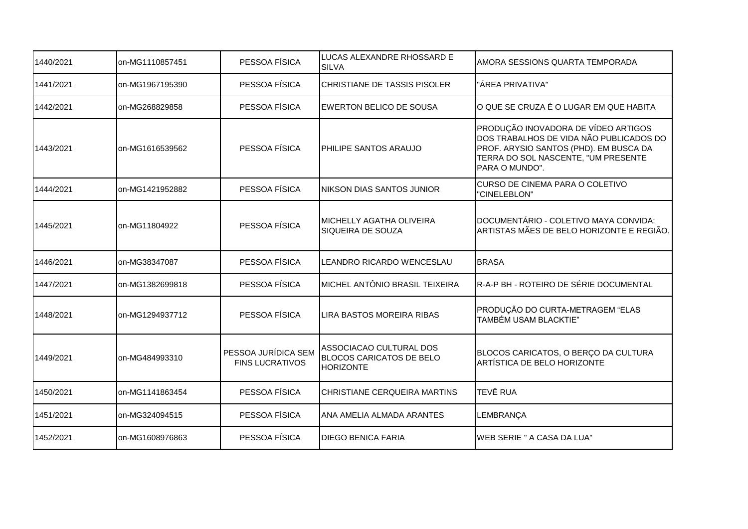| 1440/2021 | on-MG1110857451 | PESSOA FÍSICA                                 | LUCAS ALEXANDRE RHOSSARD E<br><b>SILVA</b>                                     | AMORA SESSIONS QUARTA TEMPORADA                                                                                                                                                   |
|-----------|-----------------|-----------------------------------------------|--------------------------------------------------------------------------------|-----------------------------------------------------------------------------------------------------------------------------------------------------------------------------------|
| 1441/2021 | on-MG1967195390 | PESSOA FÍSICA                                 | <b>CHRISTIANE DE TASSIS PISOLER</b>                                            | "ÁREA PRIVATIVA"                                                                                                                                                                  |
| 1442/2021 | on-MG268829858  | PESSOA FÍSICA                                 | <b>EWERTON BELICO DE SOUSA</b>                                                 | O QUE SE CRUZA É O LUGAR EM QUE HABITA                                                                                                                                            |
| 1443/2021 | on-MG1616539562 | PESSOA FÍSICA                                 | PHILIPE SANTOS ARAUJO                                                          | PRODUÇÃO INOVADORA DE VÍDEO ARTIGOS<br>DOS TRABALHOS DE VIDA NÃO PUBLICADOS DO<br>PROF. ARYSIO SANTOS (PHD). EM BUSCA DA<br>TERRA DO SOL NASCENTE, "UM PRESENTE<br>PARA O MUNDO". |
| 1444/2021 | on-MG1421952882 | PESSOA FÍSICA                                 | NIKSON DIAS SANTOS JUNIOR                                                      | CURSO DE CINEMA PARA O COLETIVO<br>"CINELEBLON"                                                                                                                                   |
| 1445/2021 | on-MG11804922   | PESSOA FÍSICA                                 | MICHELLY AGATHA OLIVEIRA<br>SIQUEIRA DE SOUZA                                  | DOCUMENTÁRIO - COLETIVO MAYA CONVIDA:<br>ARTISTAS MÃES DE BELO HORIZONTE E REGIÃO.                                                                                                |
| 1446/2021 | on-MG38347087   | PESSOA FÍSICA                                 | LEANDRO RICARDO WENCESLAU                                                      | <b>BRASA</b>                                                                                                                                                                      |
| 1447/2021 | on-MG1382699818 | PESSOA FÍSICA                                 | MICHEL ANTÔNIO BRASIL TEIXEIRA                                                 | R-A-P BH - ROTEIRO DE SÉRIE DOCUMENTAL                                                                                                                                            |
| 1448/2021 | on-MG1294937712 | PESSOA FÍSICA                                 | LIRA BASTOS MOREIRA RIBAS                                                      | PRODUÇÃO DO CURTA-METRAGEM "ELAS<br>TAMBÉM USAM BLACKTIE"                                                                                                                         |
| 1449/2021 | on-MG484993310  | PESSOA JURÍDICA SEM<br><b>FINS LUCRATIVOS</b> | ASSOCIACAO CULTURAL DOS<br><b>BLOCOS CARICATOS DE BELO</b><br><b>HORIZONTE</b> | BLOCOS CARICATOS, O BERÇO DA CULTURA<br>ARTÍSTICA DE BELO HORIZONTE                                                                                                               |
| 1450/2021 | on-MG1141863454 | PESSOA FÍSICA                                 | CHRISTIANE CERQUEIRA MARTINS                                                   | <b>TEVÊ RUA</b>                                                                                                                                                                   |
| 1451/2021 |                 |                                               |                                                                                |                                                                                                                                                                                   |
|           | on-MG324094515  | PESSOA FÍSICA                                 | ANA AMELIA ALMADA ARANTES                                                      | LEMBRANÇA                                                                                                                                                                         |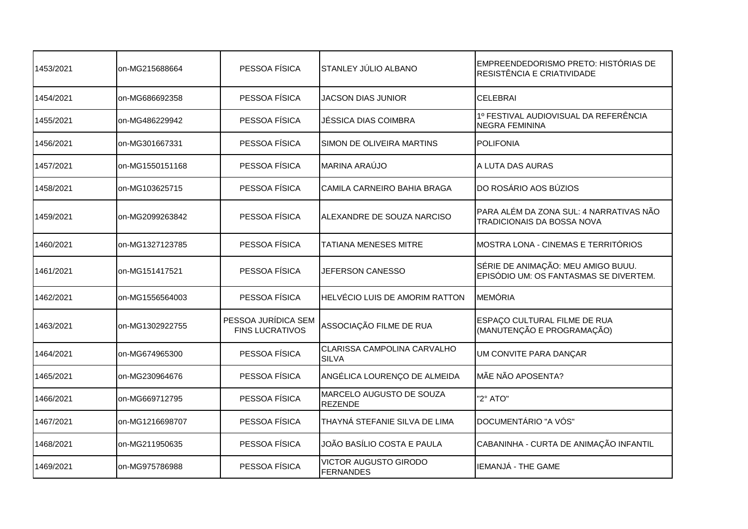| 1453/2021 | on-MG215688664  | PESSOA FÍSICA                                 | STANLEY JULIO ALBANO                               | EMPREENDEDORISMO PRETO: HISTÓRIAS DE<br>RESISTÊNCIA E CRIATIVIDADE           |
|-----------|-----------------|-----------------------------------------------|----------------------------------------------------|------------------------------------------------------------------------------|
| 1454/2021 | on-MG686692358  | PESSOA FÍSICA                                 | <b>JACSON DIAS JUNIOR</b>                          | <b>CELEBRAI</b>                                                              |
| 1455/2021 | on-MG486229942  | PESSOA FÍSICA                                 | JÉSSICA DIAS COIMBRA                               | 1º FESTIVAL AUDIOVISUAL DA REFERÊNCIA<br><b>NEGRA FEMININA</b>               |
| 1456/2021 | on-MG301667331  | PESSOA FÍSICA                                 | SIMON DE OLIVEIRA MARTINS                          | <b>POLIFONIA</b>                                                             |
| 1457/2021 | on-MG1550151168 | PESSOA FÍSICA                                 | <b>MARINA ARAÚJO</b>                               | A LUTA DAS AURAS                                                             |
| 1458/2021 | on-MG103625715  | PESSOA FÍSICA                                 | CAMILA CARNEIRO BAHIA BRAGA                        | DO ROSÁRIO AOS BÚZIOS                                                        |
| 1459/2021 | on-MG2099263842 | PESSOA FÍSICA                                 | ALEXANDRE DE SOUZA NARCISO                         | PARA ALÉM DA ZONA SUL: 4 NARRATIVAS NÃO<br><b>TRADICIONAIS DA BOSSA NOVA</b> |
| 1460/2021 | on-MG1327123785 | PESSOA FÍSICA                                 | <b>TATIANA MENESES MITRE</b>                       | MOSTRA LONA - CINEMAS E TERRITÓRIOS                                          |
| 1461/2021 | on-MG151417521  | PESSOA FÍSICA                                 | JEFERSON CANESSO                                   | SÉRIE DE ANIMAÇÃO: MEU AMIGO BUUU.<br>EPISÓDIO UM: OS FANTASMAS SE DIVERTEM. |
| 1462/2021 | on-MG1556564003 | PESSOA FÍSICA                                 | HELVÉCIO LUIS DE AMORIM RATTON                     | MEMÓRIA                                                                      |
| 1463/2021 | on-MG1302922755 | PESSOA JURÍDICA SEM<br><b>FINS LUCRATIVOS</b> | ASSOCIAÇÃO FILME DE RUA                            | ESPAÇO CULTURAL FILME DE RUA<br>(MANUTENÇÃO E PROGRAMAÇÃO)                   |
| 1464/2021 | on-MG674965300  | PESSOA FÍSICA                                 | <b>CLARISSA CAMPOLINA CARVALHO</b><br><b>SILVA</b> | UM CONVITE PARA DANÇAR                                                       |
| 1465/2021 | on-MG230964676  | PESSOA FÍSICA                                 | ANGÉLICA LOURENÇO DE ALMEIDA                       | MÃE NÃO APOSENTA?                                                            |
| 1466/2021 | on-MG669712795  | PESSOA FÍSICA                                 | MARCELO AUGUSTO DE SOUZA<br><b>REZENDE</b>         | "2° ATO"                                                                     |
| 1467/2021 | on-MG1216698707 | PESSOA FÍSICA                                 | THAYNÁ STEFANIE SILVA DE LIMA                      | DOCUMENTÁRIO "A VÓS"                                                         |
| 1468/2021 | on-MG211950635  | PESSOA FÍSICA                                 | JOÃO BASÍLIO COSTA E PAULA                         | CABANINHA - CURTA DE ANIMAÇÃO INFANTIL                                       |
| 1469/2021 | on-MG975786988  | PESSOA FÍSICA                                 | <b>VICTOR AUGUSTO GIRODO</b><br>FERNANDES          | IIEMANJÁ - THE GAME                                                          |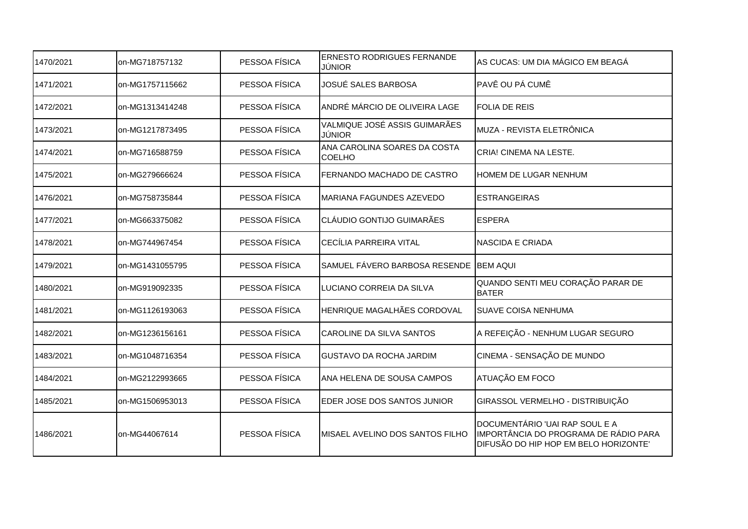| 1470/2021 | on-MG718757132  | PESSOA FÍSICA | <b>ERNESTO RODRIGUES FERNANDE</b><br>JÚNIOR   | AS CUCAS: UM DIA MÁGICO EM BEAGÁ                                                                                 |
|-----------|-----------------|---------------|-----------------------------------------------|------------------------------------------------------------------------------------------------------------------|
| 1471/2021 | on-MG1757115662 | PESSOA FÍSICA | <b>JOSUÉ SALES BARBOSA</b>                    | PAVÊ OU PÁ CUMÊ                                                                                                  |
| 1472/2021 | on-MG1313414248 | PESSOA FÍSICA | ANDRÉ MÁRCIO DE OLIVEIRA LAGE                 | <b>FOLIA DE REIS</b>                                                                                             |
| 1473/2021 | on-MG1217873495 | PESSOA FÍSICA | VALMIQUE JOSÉ ASSIS GUIMARÃES<br>JÚNIOR       | MUZA - REVISTA ELETRÔNICA                                                                                        |
| 1474/2021 | on-MG716588759  | PESSOA FÍSICA | ANA CAROLINA SOARES DA COSTA<br><b>COELHO</b> | CRIA! CINEMA NA LESTE.                                                                                           |
| 1475/2021 | on-MG279666624  | PESSOA FÍSICA | FERNANDO MACHADO DE CASTRO                    | HOMEM DE LUGAR NENHUM                                                                                            |
| 1476/2021 | on-MG758735844  | PESSOA FÍSICA | MARIANA FAGUNDES AZEVEDO                      | <b>ESTRANGEIRAS</b>                                                                                              |
| 1477/2021 | on-MG663375082  | PESSOA FÍSICA | CLÁUDIO GONTIJO GUIMARÃES                     | <b>ESPERA</b>                                                                                                    |
| 1478/2021 | on-MG744967454  | PESSOA FÍSICA | CECÍLIA PARREIRA VITAL                        | <b>NASCIDA E CRIADA</b>                                                                                          |
| 1479/2021 | on-MG1431055795 | PESSOA FÍSICA | SAMUEL FÁVERO BARBOSA RESENDE                 | <b>BEM AQUI</b>                                                                                                  |
| 1480/2021 | on-MG919092335  | PESSOA FÍSICA | LUCIANO CORREIA DA SILVA                      | QUANDO SENTI MEU CORAÇÃO PARAR DE<br><b>BATER</b>                                                                |
| 1481/2021 | on-MG1126193063 | PESSOA FÍSICA | <b>HENRIQUE MAGALHÃES CORDOVAL</b>            | <b>SUAVE COISA NENHUMA</b>                                                                                       |
| 1482/2021 | on-MG1236156161 | PESSOA FÍSICA | <b>CAROLINE DA SILVA SANTOS</b>               | A REFEIÇÃO - NENHUM LUGAR SEGURO                                                                                 |
| 1483/2021 | on-MG1048716354 | PESSOA FÍSICA | <b>GUSTAVO DA ROCHA JARDIM</b>                | CINEMA - SENSAÇÃO DE MUNDO                                                                                       |
| 1484/2021 | on-MG2122993665 | PESSOA FÍSICA | ANA HELENA DE SOUSA CAMPOS                    | ATUAÇÃO EM FOCO                                                                                                  |
| 1485/2021 | on-MG1506953013 | PESSOA FÍSICA | EDER JOSE DOS SANTOS JUNIOR                   | GIRASSOL VERMELHO - DISTRIBUIÇÃO                                                                                 |
| 1486/2021 | on-MG44067614   | PESSOA FÍSICA | MISAEL AVELINO DOS SANTOS FILHO               | DOCUMENTÁRIO 'UAI RAP SOUL E A<br>IMPORTÂNCIA DO PROGRAMA DE RÁDIO PARA<br>DIFUSÃO DO HIP HOP EM BELO HORIZONTE' |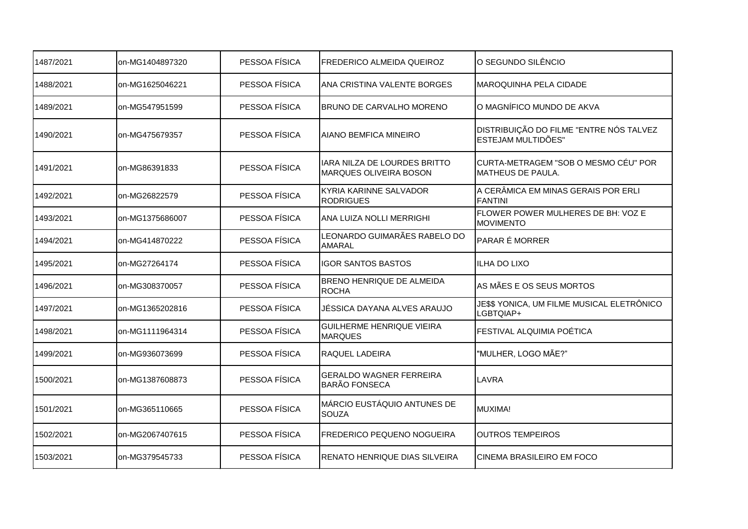| 1487/2021 | on-MG1404897320 | PESSOA FÍSICA | <b>FREDERICO ALMEIDA QUEIROZ</b>                              | O SEGUNDO SILÊNCIO                                            |
|-----------|-----------------|---------------|---------------------------------------------------------------|---------------------------------------------------------------|
| 1488/2021 | on-MG1625046221 | PESSOA FÍSICA | ANA CRISTINA VALENTE BORGES                                   | <b>MAROQUINHA PELA CIDADE</b>                                 |
| 1489/2021 | on-MG547951599  | PESSOA FÍSICA | <b>BRUNO DE CARVALHO MORENO</b>                               | O MAGNÍFICO MUNDO DE AKVA                                     |
| 1490/2021 | on-MG475679357  | PESSOA FÍSICA | <b>AIANO BEMFICA MINEIRO</b>                                  | DISTRIBUIÇÃO DO FILME "ENTRE NÓS TALVEZ<br>ESTEJAM MULTIDÕES" |
| 1491/2021 | on-MG86391833   | PESSOA FÍSICA | IARA NILZA DE LOURDES BRITTO<br><b>MARQUES OLIVEIRA BOSON</b> | CURTA-METRAGEM "SOB O MESMO CÉU" POR<br>IMATHEUS DE PAULA.    |
| 1492/2021 | on-MG26822579   | PESSOA FÍSICA | <b>KYRIA KARINNE SALVADOR</b><br><b>RODRIGUES</b>             | A CERÂMICA EM MINAS GERAIS POR ERLI<br><b>FANTINI</b>         |
| 1493/2021 | on-MG1375686007 | PESSOA FÍSICA | ANA LUIZA NOLLI MERRIGHI                                      | FLOWER POWER MULHERES DE BH: VOZ E<br><b>MOVIMENTO</b>        |
| 1494/2021 | on-MG414870222  | PESSOA FÍSICA | LEONARDO GUIMARÃES RABELO DO<br><b>AMARAL</b>                 | PARAR É MORRER                                                |
| 1495/2021 | on-MG27264174   | PESSOA FÍSICA | <b>IGOR SANTOS BASTOS</b>                                     | ILHA DO LIXO                                                  |
| 1496/2021 | on-MG308370057  | PESSOA FÍSICA | <b>BRENO HENRIQUE DE ALMEIDA</b><br><b>ROCHA</b>              | AS MÃES E OS SEUS MORTOS                                      |
| 1497/2021 | on-MG1365202816 | PESSOA FÍSICA | JÉSSICA DAYANA ALVES ARAUJO                                   | JE\$\$ YONICA, UM FILME MUSICAL ELETRÔNICO<br>LGBTQIAP+       |
| 1498/2021 | on-MG1111964314 | PESSOA FÍSICA | <b>GUILHERME HENRIQUE VIEIRA</b><br><b>MARQUES</b>            | FESTIVAL ALQUIMIA POÉTICA                                     |
| 1499/2021 | on-MG936073699  | PESSOA FÍSICA | RAQUEL LADEIRA                                                | "MULHER, LOGO MÃE?"                                           |
| 1500/2021 | on-MG1387608873 | PESSOA FÍSICA | <b>GERALDO WAGNER FERREIRA</b><br><b>BARÃO FONSECA</b>        | LAVRA                                                         |
| 1501/2021 | on-MG365110665  | PESSOA FÍSICA | MÁRCIO EUSTÁQUIO ANTUNES DE<br><b>SOUZA</b>                   | MUXIMA!                                                       |
| 1502/2021 | on-MG2067407615 | PESSOA FÍSICA | <b>FREDERICO PEQUENO NOGUEIRA</b>                             | <b>OUTROS TEMPEIROS</b>                                       |
| 1503/2021 | on-MG379545733  | PESSOA FÍSICA | <b>RENATO HENRIQUE DIAS SILVEIRA</b>                          | <b>CINEMA BRASILEIRO EM FOCO</b>                              |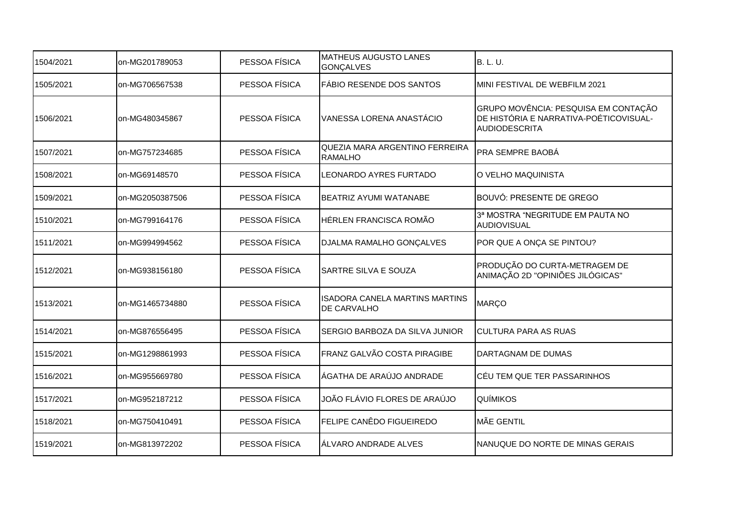| 1504/2021 | on-MG201789053  | PESSOA FÍSICA | <b>IMATHEUS AUGUSTO LANES</b><br><b>GONÇALVES</b>           | <b>B. L. U.</b>                                                                                        |
|-----------|-----------------|---------------|-------------------------------------------------------------|--------------------------------------------------------------------------------------------------------|
| 1505/2021 | on-MG706567538  | PESSOA FÍSICA | FÁBIO RESENDE DOS SANTOS                                    | MINI FESTIVAL DE WEBFILM 2021                                                                          |
| 1506/2021 | on-MG480345867  | PESSOA FÍSICA | VANESSA LORENA ANASTÁCIO                                    | GRUPO MOVÊNCIA: PESQUISA EM CONTAÇÃO<br>DE HISTÓRIA E NARRATIVA-POÉTICOVISUAL-<br><b>AUDIODESCRITA</b> |
| 1507/2021 | on-MG757234685  | PESSOA FÍSICA | QUEZIA MARA ARGENTINO FERREIRA<br><b>RAMALHO</b>            | PRA SEMPRE BAOBÁ                                                                                       |
| 1508/2021 | on-MG69148570   | PESSOA FÍSICA | <b>LEONARDO AYRES FURTADO</b>                               | O VELHO MAQUINISTA                                                                                     |
| 1509/2021 | on-MG2050387506 | PESSOA FÍSICA | <b>BEATRIZ AYUMI WATANABE</b>                               | <b>BOUVÓ: PRESENTE DE GREGO</b>                                                                        |
| 1510/2021 | on-MG799164176  | PESSOA FÍSICA | HÉRLEN FRANCISCA ROMÃO                                      | 3ª MOSTRA "NEGRITUDE EM PAUTA NO<br>AUDIOVISUAL                                                        |
| 1511/2021 | on-MG994994562  | PESSOA FÍSICA | DJALMA RAMALHO GONÇALVES                                    | POR QUE A ONÇA SE PINTOU?                                                                              |
| 1512/2021 | on-MG938156180  | PESSOA FÍSICA | <b>SARTRE SILVA E SOUZA</b>                                 | PRODUÇÃO DO CURTA-METRAGEM DE<br>ANIMAÇÃO 2D "OPINIÕES JILÓGICAS"                                      |
| 1513/2021 | on-MG1465734880 | PESSOA FÍSICA | <b>ISADORA CANELA MARTINS MARTINS</b><br><b>DE CARVALHO</b> | MARÇO                                                                                                  |
| 1514/2021 | on-MG876556495  | PESSOA FÍSICA | SERGIO BARBOZA DA SILVA JUNIOR                              | <b>CULTURA PARA AS RUAS</b>                                                                            |
| 1515/2021 | on-MG1298861993 | PESSOA FÍSICA | FRANZ GALVÃO COSTA PIRAGIBE                                 | DARTAGNAM DE DUMAS                                                                                     |
| 1516/2021 | on-MG955669780  | PESSOA FÍSICA | ÁGATHA DE ARAÚJO ANDRADE                                    | CÉU TEM QUE TER PASSARINHOS                                                                            |
| 1517/2021 | on-MG952187212  | PESSOA FÍSICA | JOÃO FLÁVIO FLORES DE ARAÚJO                                | <b>QUÍMIKOS</b>                                                                                        |
| 1518/2021 | on-MG750410491  | PESSOA FÍSICA | FELIPE CANÊDO FIGUEIREDO                                    | MÃE GENTIL                                                                                             |
| 1519/2021 | on-MG813972202  | PESSOA FÍSICA | ÁLVARO ANDRADE ALVES                                        | INANUQUE DO NORTE DE MINAS GERAIS                                                                      |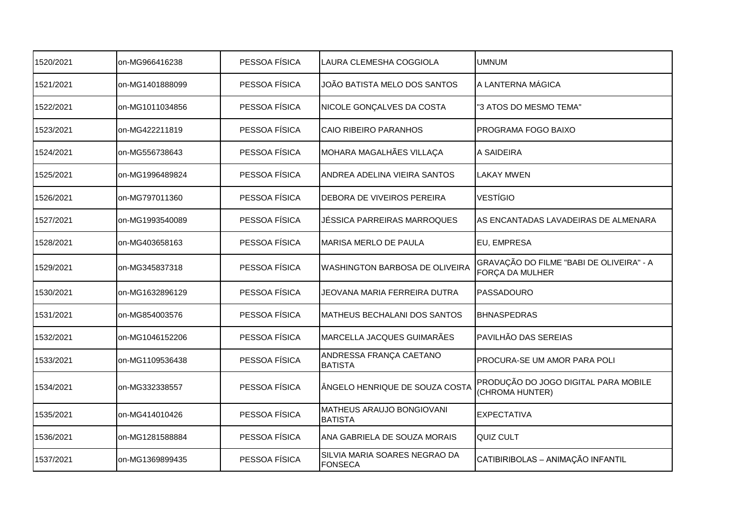| 1520/2021 | on-MG966416238  | PESSOA FÍSICA | LAURA CLEMESHA COGGIOLA                     | <b>UMNUM</b>                                                |
|-----------|-----------------|---------------|---------------------------------------------|-------------------------------------------------------------|
| 1521/2021 | on-MG1401888099 | PESSOA FÍSICA | JOÃO BATISTA MELO DOS SANTOS                | A LANTERNA MÁGICA                                           |
| 1522/2021 | on-MG1011034856 | PESSOA FÍSICA | NICOLE GONÇALVES DA COSTA                   | "3 ATOS DO MESMO TEMA"                                      |
| 1523/2021 | on-MG422211819  | PESSOA FÍSICA | <b>CAIO RIBEIRO PARANHOS</b>                | PROGRAMA FOGO BAIXO                                         |
| 1524/2021 | on-MG556738643  | PESSOA FÍSICA | MOHARA MAGALHÃES VILLAÇA                    | A SAIDEIRA                                                  |
| 1525/2021 | on-MG1996489824 | PESSOA FÍSICA | ANDREA ADELINA VIEIRA SANTOS                | <b>LAKAY MWEN</b>                                           |
| 1526/2021 | on-MG797011360  | PESSOA FÍSICA | DEBORA DE VIVEIROS PEREIRA                  | <b>VESTÍGIO</b>                                             |
| 1527/2021 | on-MG1993540089 | PESSOA FÍSICA | JÉSSICA PARREIRAS MARROQUES                 | AS ENCANTADAS LAVADEIRAS DE ALMENARA                        |
| 1528/2021 | on-MG403658163  | PESSOA FÍSICA | MARISA MERLO DE PAULA                       | EU, EMPRESA                                                 |
| 1529/2021 | on-MG345837318  | PESSOA FÍSICA | <b>WASHINGTON BARBOSA DE OLIVEIRA</b>       | GRAVAÇÃO DO FILME "BABI DE OLIVEIRA" - A<br>FORÇA DA MULHER |
| 1530/2021 | on-MG1632896129 | PESSOA FÍSICA | JEOVANA MARIA FERREIRA DUTRA                | PASSADOURO                                                  |
| 1531/2021 | on-MG854003576  | PESSOA FÍSICA | MATHEUS BECHALANI DOS SANTOS                | <b>BHNASPEDRAS</b>                                          |
| 1532/2021 | on-MG1046152206 | PESSOA FÍSICA | MARCELLA JACQUES GUIMARÃES                  | PAVILHÃO DAS SEREIAS                                        |
| 1533/2021 | on-MG1109536438 | PESSOA FÍSICA | ANDRESSA FRANÇA CAETANO<br><b>BATISTA</b>   | PROCURA-SE UM AMOR PARA POLI                                |
| 1534/2021 | on-MG332338557  | PESSOA FÍSICA | ÂNGELO HENRIQUE DE SOUZA COSTA              | PRODUÇÃO DO JOGO DIGITAL PARA MOBILE<br>(CHROMA HUNTER)     |
| 1535/2021 | on-MG414010426  | PESSOA FÍSICA | MATHEUS ARAUJO BONGIOVANI<br><b>BATISTA</b> | <b>EXPECTATIVA</b>                                          |
| 1536/2021 | on-MG1281588884 | PESSOA FÍSICA | ANA GABRIELA DE SOUZA MORAIS                | <b>QUIZ CULT</b>                                            |
| 1537/2021 | on-MG1369899435 | PESSOA FÍSICA | SILVIA MARIA SOARES NEGRAO DA<br>FONSECA    | CATIBIRIBOLAS - ANIMAÇÃO INFANTIL                           |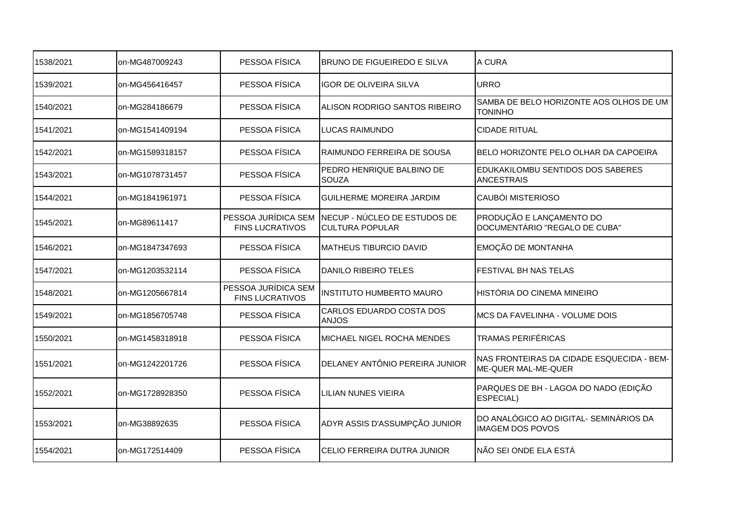| 1538/2021 | on-MG487009243  | PESSOA FÍSICA                                 | <b>BRUNO DE FIGUEIREDO E SILVA</b>                     | A CURA                                                            |
|-----------|-----------------|-----------------------------------------------|--------------------------------------------------------|-------------------------------------------------------------------|
| 1539/2021 | on-MG456416457  | PESSOA FÍSICA                                 | <b>IGOR DE OLIVEIRA SILVA</b>                          | <b>URRO</b>                                                       |
| 1540/2021 | on-MG284186679  | PESSOA FÍSICA                                 | ALISON RODRIGO SANTOS RIBEIRO                          | SAMBA DE BELO HORIZONTE AOS OLHOS DE UM<br><b>TONINHO</b>         |
| 1541/2021 | on-MG1541409194 | PESSOA FÍSICA                                 | LUCAS RAIMUNDO                                         | <b>CIDADE RITUAL</b>                                              |
| 1542/2021 | on-MG1589318157 | PESSOA FÍSICA                                 | RAIMUNDO FERREIRA DE SOUSA                             | BELO HORIZONTE PELO OLHAR DA CAPOEIRA                             |
| 1543/2021 | on-MG1078731457 | PESSOA FÍSICA                                 | PEDRO HENRIQUE BALBINO DE<br><b>SOUZA</b>              | <b>EDUKAKILOMBU SENTIDOS DOS SABERES</b><br><b>ANCESTRAIS</b>     |
| 1544/2021 | on-MG1841961971 | PESSOA FÍSICA                                 | <b>GUILHERME MOREIRA JARDIM</b>                        | <b>CAUBÓI MISTERIOSO</b>                                          |
| 1545/2021 | on-MG89611417   | PESSOA JURÍDICA SEM<br><b>FINS LUCRATIVOS</b> | NECUP - NÚCLEO DE ESTUDOS DE<br><b>CULTURA POPULAR</b> | PRODUÇÃO E LANÇAMENTO DO<br>DOCUMENTÁRIO "REGALO DE CUBA"         |
| 1546/2021 | on-MG1847347693 | PESSOA FÍSICA                                 | MATHEUS TIBURCIO DAVID                                 | <b>EMOÇÃO DE MONTANHA</b>                                         |
| 1547/2021 | on-MG1203532114 | PESSOA FÍSICA                                 | <b>DANILO RIBEIRO TELES</b>                            | <b>FESTIVAL BH NAS TELAS</b>                                      |
| 1548/2021 | on-MG1205667814 | PESSOA JURÍDICA SEM<br><b>FINS LUCRATIVOS</b> | <b>INSTITUTO HUMBERTO MAURO</b>                        | HISTÓRIA DO CINEMA MINEIRO                                        |
| 1549/2021 | on-MG1856705748 | PESSOA FÍSICA                                 | CARLOS EDUARDO COSTA DOS<br><b>ANJOS</b>               | MCS DA FAVELINHA - VOLUME DOIS                                    |
| 1550/2021 | on-MG1458318918 | PESSOA FÍSICA                                 | MICHAEL NIGEL ROCHA MENDES                             | TRAMAS PERIFÉRICAS                                                |
| 1551/2021 | on-MG1242201726 | PESSOA FÍSICA                                 | DELANEY ANTÔNIO PEREIRA JUNIOR                         | NAS FRONTEIRAS DA CIDADE ESQUECIDA - BEM-<br>ME-QUER MAL-ME-QUER  |
| 1552/2021 | on-MG1728928350 | PESSOA FÍSICA                                 | <b>LILIAN NUNES VIEIRA</b>                             | PARQUES DE BH - LAGOA DO NADO (EDIÇÃO<br>ESPECIAL)                |
| 1553/2021 | on-MG38892635   | PESSOA FÍSICA                                 | ADYR ASSIS D'ASSUMPÇÃO JUNIOR                          | DO ANALÓGICO AO DIGITAL- SEMINÁRIOS DA<br><b>IMAGEM DOS POVOS</b> |
| 1554/2021 | on-MG172514409  | PESSOA FÍSICA                                 | CELIO FERREIRA DUTRA JUNIOR                            | NÃO SEI ONDE ELA ESTÁ                                             |